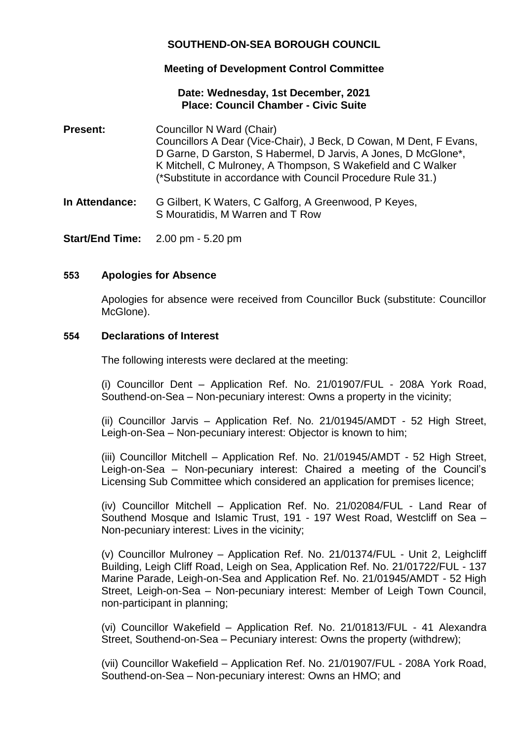# **SOUTHEND-ON-SEA BOROUGH COUNCIL**

# **Meeting of Development Control Committee**

## **Date: Wednesday, 1st December, 2021 Place: Council Chamber - Civic Suite**

- **Present:** Councillor N Ward (Chair) Councillors A Dear (Vice-Chair), J Beck, D Cowan, M Dent, F Evans, D Garne, D Garston, S Habermel, D Jarvis, A Jones, D McGlone\*, K Mitchell, C Mulroney, A Thompson, S Wakefield and C Walker (\*Substitute in accordance with Council Procedure Rule 31.)
- **In Attendance:** G Gilbert, K Waters, C Galforg, A Greenwood, P Keyes, S Mouratidis, M Warren and T Row
- **Start/End Time:** 2.00 pm 5.20 pm

## **553 Apologies for Absence**

Apologies for absence were received from Councillor Buck (substitute: Councillor McGlone).

## **554 Declarations of Interest**

The following interests were declared at the meeting:

(i) Councillor Dent – Application Ref. No. 21/01907/FUL - 208A York Road, Southend-on-Sea – Non-pecuniary interest: Owns a property in the vicinity;

(ii) Councillor Jarvis – Application Ref. No. 21/01945/AMDT - 52 High Street, Leigh-on-Sea – Non-pecuniary interest: Objector is known to him;

(iii) Councillor Mitchell – Application Ref. No. 21/01945/AMDT - 52 High Street, Leigh-on-Sea – Non-pecuniary interest: Chaired a meeting of the Council's Licensing Sub Committee which considered an application for premises licence;

(iv) Councillor Mitchell – Application Ref. No. 21/02084/FUL - Land Rear of Southend Mosque and Islamic Trust, 191 - 197 West Road, Westcliff on Sea – Non-pecuniary interest: Lives in the vicinity;

(v) Councillor Mulroney – Application Ref. No. 21/01374/FUL - Unit 2, Leighcliff Building, Leigh Cliff Road, Leigh on Sea, Application Ref. No. 21/01722/FUL - 137 Marine Parade, Leigh-on-Sea and Application Ref. No. 21/01945/AMDT - 52 High Street, Leigh-on-Sea – Non-pecuniary interest: Member of Leigh Town Council, non-participant in planning;

(vi) Councillor Wakefield – Application Ref. No. 21/01813/FUL - 41 Alexandra Street, Southend-on-Sea – Pecuniary interest: Owns the property (withdrew);

(vii) Councillor Wakefield – Application Ref. No. 21/01907/FUL - 208A York Road, Southend-on-Sea – Non-pecuniary interest: Owns an HMO; and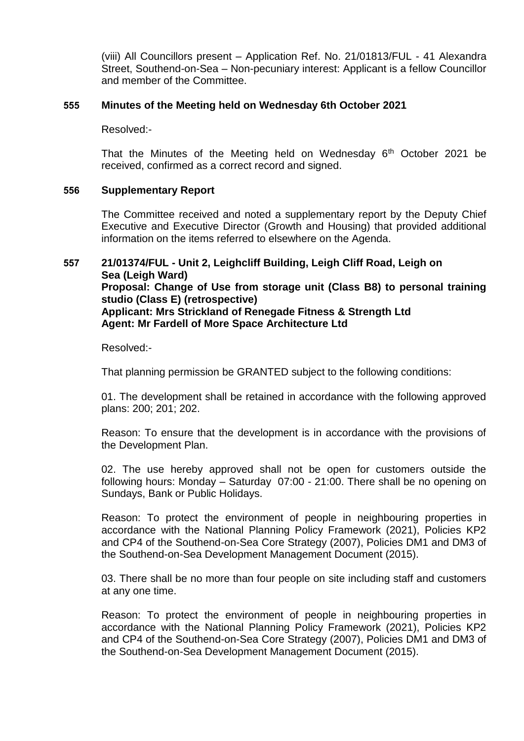(viii) All Councillors present – Application Ref. No. 21/01813/FUL - 41 Alexandra Street, Southend-on-Sea – Non-pecuniary interest: Applicant is a fellow Councillor and member of the Committee.

## **555 Minutes of the Meeting held on Wednesday 6th October 2021**

Resolved:-

That the Minutes of the Meeting held on Wednesday  $6<sup>th</sup>$  October 2021 be received, confirmed as a correct record and signed.

#### **556 Supplementary Report**

The Committee received and noted a supplementary report by the Deputy Chief Executive and Executive Director (Growth and Housing) that provided additional information on the items referred to elsewhere on the Agenda.

## **557 21/01374/FUL - Unit 2, Leighcliff Building, Leigh Cliff Road, Leigh on Sea (Leigh Ward) Proposal: Change of Use from storage unit (Class B8) to personal training studio (Class E) (retrospective) Applicant: Mrs Strickland of Renegade Fitness & Strength Ltd Agent: Mr Fardell of More Space Architecture Ltd**

Resolved:-

That planning permission be GRANTED subject to the following conditions:

01. The development shall be retained in accordance with the following approved plans: 200; 201; 202.

Reason: To ensure that the development is in accordance with the provisions of the Development Plan.

02. The use hereby approved shall not be open for customers outside the following hours: Monday – Saturday 07:00 - 21:00. There shall be no opening on Sundays, Bank or Public Holidays.

Reason: To protect the environment of people in neighbouring properties in accordance with the National Planning Policy Framework (2021), Policies KP2 and CP4 of the Southend-on-Sea Core Strategy (2007), Policies DM1 and DM3 of the Southend-on-Sea Development Management Document (2015).

03. There shall be no more than four people on site including staff and customers at any one time.

Reason: To protect the environment of people in neighbouring properties in accordance with the National Planning Policy Framework (2021), Policies KP2 and CP4 of the Southend-on-Sea Core Strategy (2007), Policies DM1 and DM3 of the Southend-on-Sea Development Management Document (2015).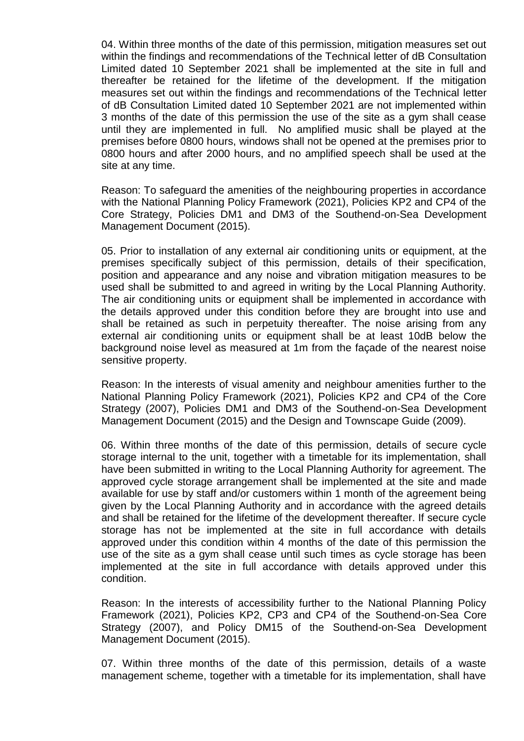04. Within three months of the date of this permission, mitigation measures set out within the findings and recommendations of the Technical letter of dB Consultation Limited dated 10 September 2021 shall be implemented at the site in full and thereafter be retained for the lifetime of the development. If the mitigation measures set out within the findings and recommendations of the Technical letter of dB Consultation Limited dated 10 September 2021 are not implemented within 3 months of the date of this permission the use of the site as a gym shall cease until they are implemented in full. No amplified music shall be played at the premises before 0800 hours, windows shall not be opened at the premises prior to 0800 hours and after 2000 hours, and no amplified speech shall be used at the site at any time.

Reason: To safeguard the amenities of the neighbouring properties in accordance with the National Planning Policy Framework (2021), Policies KP2 and CP4 of the Core Strategy, Policies DM1 and DM3 of the Southend-on-Sea Development Management Document (2015).

05. Prior to installation of any external air conditioning units or equipment, at the premises specifically subject of this permission, details of their specification, position and appearance and any noise and vibration mitigation measures to be used shall be submitted to and agreed in writing by the Local Planning Authority. The air conditioning units or equipment shall be implemented in accordance with the details approved under this condition before they are brought into use and shall be retained as such in perpetuity thereafter. The noise arising from any external air conditioning units or equipment shall be at least 10dB below the background noise level as measured at 1m from the façade of the nearest noise sensitive property.

Reason: In the interests of visual amenity and neighbour amenities further to the National Planning Policy Framework (2021), Policies KP2 and CP4 of the Core Strategy (2007), Policies DM1 and DM3 of the Southend-on-Sea Development Management Document (2015) and the Design and Townscape Guide (2009).

06. Within three months of the date of this permission, details of secure cycle storage internal to the unit, together with a timetable for its implementation, shall have been submitted in writing to the Local Planning Authority for agreement. The approved cycle storage arrangement shall be implemented at the site and made available for use by staff and/or customers within 1 month of the agreement being given by the Local Planning Authority and in accordance with the agreed details and shall be retained for the lifetime of the development thereafter. If secure cycle storage has not be implemented at the site in full accordance with details approved under this condition within 4 months of the date of this permission the use of the site as a gym shall cease until such times as cycle storage has been implemented at the site in full accordance with details approved under this condition.

Reason: In the interests of accessibility further to the National Planning Policy Framework (2021), Policies KP2, CP3 and CP4 of the Southend-on-Sea Core Strategy (2007), and Policy DM15 of the Southend-on-Sea Development Management Document (2015).

07. Within three months of the date of this permission, details of a waste management scheme, together with a timetable for its implementation, shall have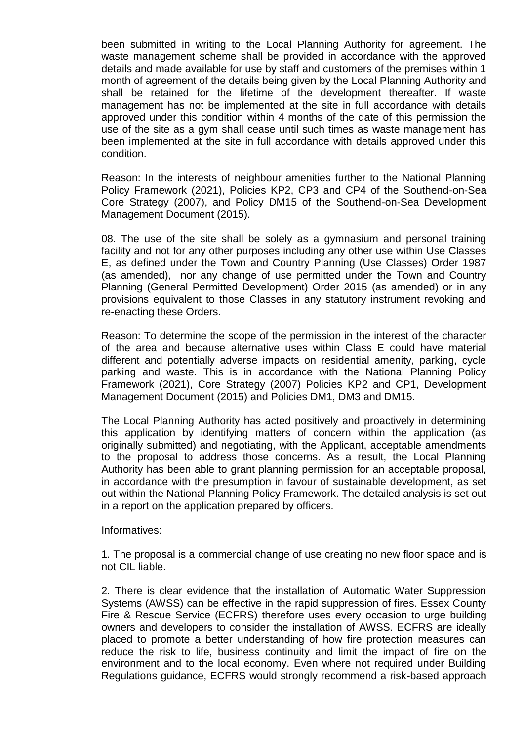been submitted in writing to the Local Planning Authority for agreement. The waste management scheme shall be provided in accordance with the approved details and made available for use by staff and customers of the premises within 1 month of agreement of the details being given by the Local Planning Authority and shall be retained for the lifetime of the development thereafter. If waste management has not be implemented at the site in full accordance with details approved under this condition within 4 months of the date of this permission the use of the site as a gym shall cease until such times as waste management has been implemented at the site in full accordance with details approved under this condition.

Reason: In the interests of neighbour amenities further to the National Planning Policy Framework (2021), Policies KP2, CP3 and CP4 of the Southend-on-Sea Core Strategy (2007), and Policy DM15 of the Southend-on-Sea Development Management Document (2015).

08. The use of the site shall be solely as a gymnasium and personal training facility and not for any other purposes including any other use within Use Classes E, as defined under the Town and Country Planning (Use Classes) Order 1987 (as amended), nor any change of use permitted under the Town and Country Planning (General Permitted Development) Order 2015 (as amended) or in any provisions equivalent to those Classes in any statutory instrument revoking and re-enacting these Orders.

Reason: To determine the scope of the permission in the interest of the character of the area and because alternative uses within Class E could have material different and potentially adverse impacts on residential amenity, parking, cycle parking and waste. This is in accordance with the National Planning Policy Framework (2021), Core Strategy (2007) Policies KP2 and CP1, Development Management Document (2015) and Policies DM1, DM3 and DM15.

The Local Planning Authority has acted positively and proactively in determining this application by identifying matters of concern within the application (as originally submitted) and negotiating, with the Applicant, acceptable amendments to the proposal to address those concerns. As a result, the Local Planning Authority has been able to grant planning permission for an acceptable proposal, in accordance with the presumption in favour of sustainable development, as set out within the National Planning Policy Framework. The detailed analysis is set out in a report on the application prepared by officers.

Informatives:

1. The proposal is a commercial change of use creating no new floor space and is not CIL liable.

2. There is clear evidence that the installation of Automatic Water Suppression Systems (AWSS) can be effective in the rapid suppression of fires. Essex County Fire & Rescue Service (ECFRS) therefore uses every occasion to urge building owners and developers to consider the installation of AWSS. ECFRS are ideally placed to promote a better understanding of how fire protection measures can reduce the risk to life, business continuity and limit the impact of fire on the environment and to the local economy. Even where not required under Building Regulations guidance, ECFRS would strongly recommend a risk-based approach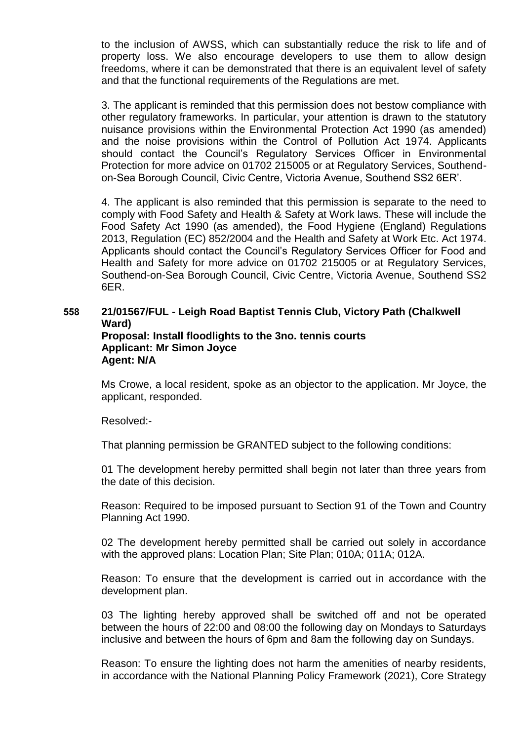to the inclusion of AWSS, which can substantially reduce the risk to life and of property loss. We also encourage developers to use them to allow design freedoms, where it can be demonstrated that there is an equivalent level of safety and that the functional requirements of the Regulations are met.

3. The applicant is reminded that this permission does not bestow compliance with other regulatory frameworks. In particular, your attention is drawn to the statutory nuisance provisions within the Environmental Protection Act 1990 (as amended) and the noise provisions within the Control of Pollution Act 1974. Applicants should contact the Council's Regulatory Services Officer in Environmental Protection for more advice on 01702 215005 or at Regulatory Services, Southendon-Sea Borough Council, Civic Centre, Victoria Avenue, Southend SS2 6ER'.

4. The applicant is also reminded that this permission is separate to the need to comply with Food Safety and Health & Safety at Work laws. These will include the Food Safety Act 1990 (as amended), the Food Hygiene (England) Regulations 2013, Regulation (EC) 852/2004 and the Health and Safety at Work Etc. Act 1974. Applicants should contact the Council's Regulatory Services Officer for Food and Health and Safety for more advice on 01702 215005 or at Regulatory Services, Southend-on-Sea Borough Council, Civic Centre, Victoria Avenue, Southend SS2 6ER.

## **558 21/01567/FUL - Leigh Road Baptist Tennis Club, Victory Path (Chalkwell Ward) Proposal: Install floodlights to the 3no. tennis courts Applicant: Mr Simon Joyce Agent: N/A**

Ms Crowe, a local resident, spoke as an objector to the application. Mr Joyce, the applicant, responded.

Resolved:-

That planning permission be GRANTED subject to the following conditions:

01 The development hereby permitted shall begin not later than three years from the date of this decision.

Reason: Required to be imposed pursuant to Section 91 of the Town and Country Planning Act 1990.

02 The development hereby permitted shall be carried out solely in accordance with the approved plans: Location Plan; Site Plan; 010A; 011A; 012A.

Reason: To ensure that the development is carried out in accordance with the development plan.

03 The lighting hereby approved shall be switched off and not be operated between the hours of 22:00 and 08:00 the following day on Mondays to Saturdays inclusive and between the hours of 6pm and 8am the following day on Sundays.

Reason: To ensure the lighting does not harm the amenities of nearby residents, in accordance with the National Planning Policy Framework (2021), Core Strategy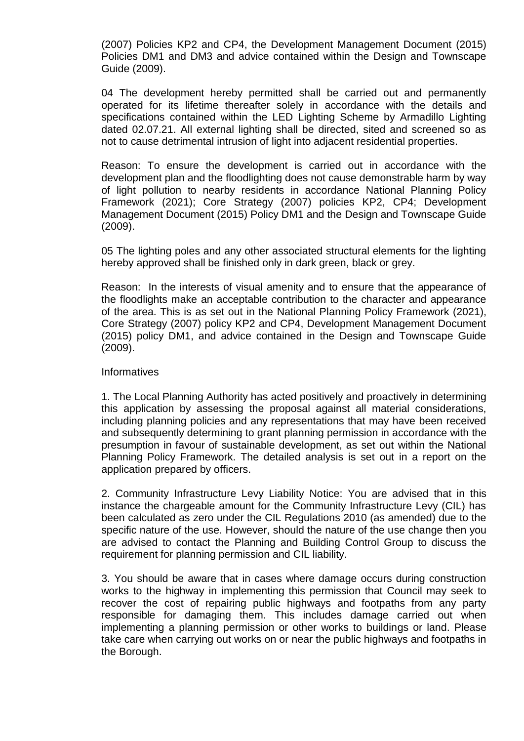(2007) Policies KP2 and CP4, the Development Management Document (2015) Policies DM1 and DM3 and advice contained within the Design and Townscape Guide (2009).

04 The development hereby permitted shall be carried out and permanently operated for its lifetime thereafter solely in accordance with the details and specifications contained within the LED Lighting Scheme by Armadillo Lighting dated 02.07.21. All external lighting shall be directed, sited and screened so as not to cause detrimental intrusion of light into adjacent residential properties.

Reason: To ensure the development is carried out in accordance with the development plan and the floodlighting does not cause demonstrable harm by way of light pollution to nearby residents in accordance National Planning Policy Framework (2021); Core Strategy (2007) policies KP2, CP4; Development Management Document (2015) Policy DM1 and the Design and Townscape Guide (2009).

05 The lighting poles and any other associated structural elements for the lighting hereby approved shall be finished only in dark green, black or grey.

Reason: In the interests of visual amenity and to ensure that the appearance of the floodlights make an acceptable contribution to the character and appearance of the area. This is as set out in the National Planning Policy Framework (2021), Core Strategy (2007) policy KP2 and CP4, Development Management Document (2015) policy DM1, and advice contained in the Design and Townscape Guide (2009).

#### Informatives

1. The Local Planning Authority has acted positively and proactively in determining this application by assessing the proposal against all material considerations, including planning policies and any representations that may have been received and subsequently determining to grant planning permission in accordance with the presumption in favour of sustainable development, as set out within the National Planning Policy Framework. The detailed analysis is set out in a report on the application prepared by officers.

2. Community Infrastructure Levy Liability Notice: You are advised that in this instance the chargeable amount for the Community Infrastructure Levy (CIL) has been calculated as zero under the CIL Regulations 2010 (as amended) due to the specific nature of the use. However, should the nature of the use change then you are advised to contact the Planning and Building Control Group to discuss the requirement for planning permission and CIL liability.

3. You should be aware that in cases where damage occurs during construction works to the highway in implementing this permission that Council may seek to recover the cost of repairing public highways and footpaths from any party responsible for damaging them. This includes damage carried out when implementing a planning permission or other works to buildings or land. Please take care when carrying out works on or near the public highways and footpaths in the Borough.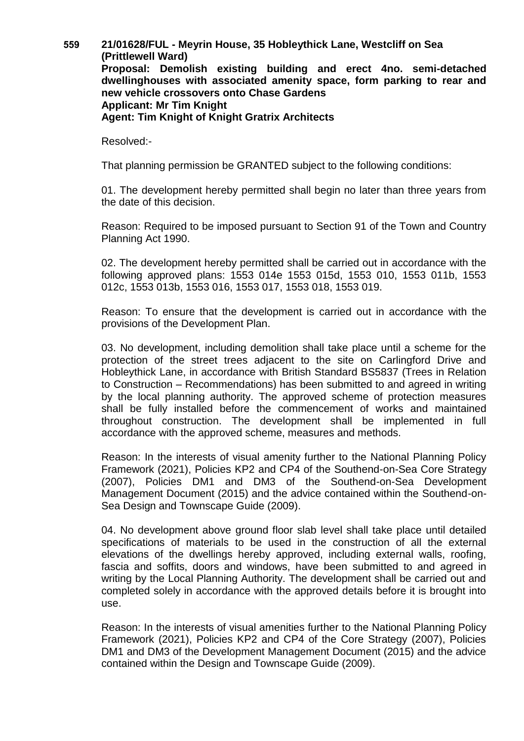**559 21/01628/FUL - Meyrin House, 35 Hobleythick Lane, Westcliff on Sea (Prittlewell Ward) Proposal: Demolish existing building and erect 4no. semi-detached dwellinghouses with associated amenity space, form parking to rear and new vehicle crossovers onto Chase Gardens Applicant: Mr Tim Knight Agent: Tim Knight of Knight Gratrix Architects**

Resolved:-

That planning permission be GRANTED subject to the following conditions:

01. The development hereby permitted shall begin no later than three years from the date of this decision.

Reason: Required to be imposed pursuant to Section 91 of the Town and Country Planning Act 1990.

02. The development hereby permitted shall be carried out in accordance with the following approved plans: 1553 014e 1553 015d, 1553 010, 1553 011b, 1553 012c, 1553 013b, 1553 016, 1553 017, 1553 018, 1553 019.

Reason: To ensure that the development is carried out in accordance with the provisions of the Development Plan.

03. No development, including demolition shall take place until a scheme for the protection of the street trees adjacent to the site on Carlingford Drive and Hobleythick Lane, in accordance with British Standard BS5837 (Trees in Relation to Construction – Recommendations) has been submitted to and agreed in writing by the local planning authority. The approved scheme of protection measures shall be fully installed before the commencement of works and maintained throughout construction. The development shall be implemented in full accordance with the approved scheme, measures and methods.

Reason: In the interests of visual amenity further to the National Planning Policy Framework (2021), Policies KP2 and CP4 of the Southend-on-Sea Core Strategy (2007), Policies DM1 and DM3 of the Southend-on-Sea Development Management Document (2015) and the advice contained within the Southend-on-Sea Design and Townscape Guide (2009).

04. No development above ground floor slab level shall take place until detailed specifications of materials to be used in the construction of all the external elevations of the dwellings hereby approved, including external walls, roofing, fascia and soffits, doors and windows, have been submitted to and agreed in writing by the Local Planning Authority. The development shall be carried out and completed solely in accordance with the approved details before it is brought into use.

Reason: In the interests of visual amenities further to the National Planning Policy Framework (2021), Policies KP2 and CP4 of the Core Strategy (2007), Policies DM1 and DM3 of the Development Management Document (2015) and the advice contained within the Design and Townscape Guide (2009).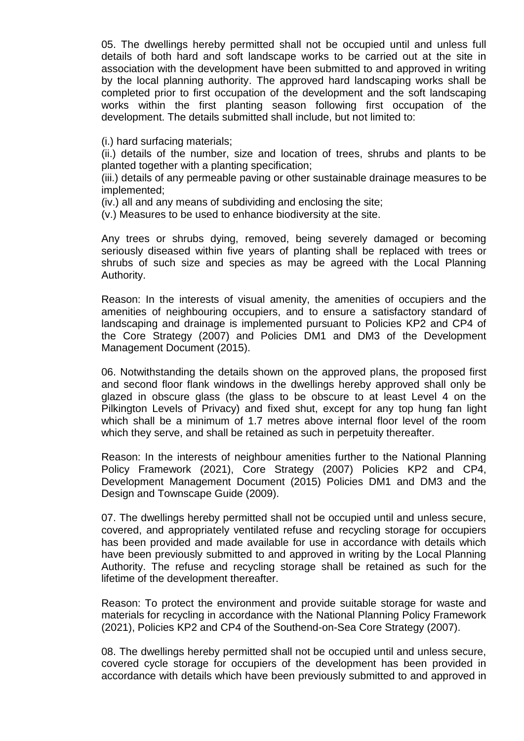05. The dwellings hereby permitted shall not be occupied until and unless full details of both hard and soft landscape works to be carried out at the site in association with the development have been submitted to and approved in writing by the local planning authority. The approved hard landscaping works shall be completed prior to first occupation of the development and the soft landscaping works within the first planting season following first occupation of the development. The details submitted shall include, but not limited to:

(i.) hard surfacing materials;

(ii.) details of the number, size and location of trees, shrubs and plants to be planted together with a planting specification;

(iii.) details of any permeable paving or other sustainable drainage measures to be implemented;

(iv.) all and any means of subdividing and enclosing the site;

(v.) Measures to be used to enhance biodiversity at the site.

Any trees or shrubs dying, removed, being severely damaged or becoming seriously diseased within five years of planting shall be replaced with trees or shrubs of such size and species as may be agreed with the Local Planning Authority.

Reason: In the interests of visual amenity, the amenities of occupiers and the amenities of neighbouring occupiers, and to ensure a satisfactory standard of landscaping and drainage is implemented pursuant to Policies KP2 and CP4 of the Core Strategy (2007) and Policies DM1 and DM3 of the Development Management Document (2015).

06. Notwithstanding the details shown on the approved plans, the proposed first and second floor flank windows in the dwellings hereby approved shall only be glazed in obscure glass (the glass to be obscure to at least Level 4 on the Pilkington Levels of Privacy) and fixed shut, except for any top hung fan light which shall be a minimum of 1.7 metres above internal floor level of the room which they serve, and shall be retained as such in perpetuity thereafter.

Reason: In the interests of neighbour amenities further to the National Planning Policy Framework (2021), Core Strategy (2007) Policies KP2 and CP4, Development Management Document (2015) Policies DM1 and DM3 and the Design and Townscape Guide (2009).

07. The dwellings hereby permitted shall not be occupied until and unless secure, covered, and appropriately ventilated refuse and recycling storage for occupiers has been provided and made available for use in accordance with details which have been previously submitted to and approved in writing by the Local Planning Authority. The refuse and recycling storage shall be retained as such for the lifetime of the development thereafter.

Reason: To protect the environment and provide suitable storage for waste and materials for recycling in accordance with the National Planning Policy Framework (2021), Policies KP2 and CP4 of the Southend-on-Sea Core Strategy (2007).

08. The dwellings hereby permitted shall not be occupied until and unless secure, covered cycle storage for occupiers of the development has been provided in accordance with details which have been previously submitted to and approved in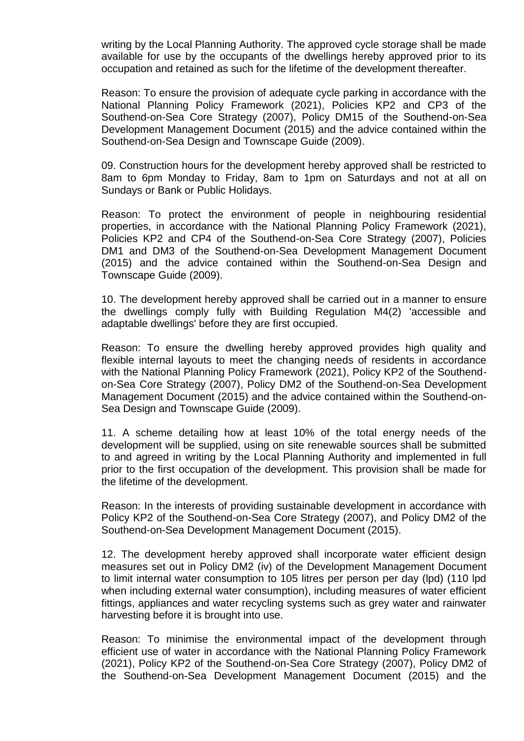writing by the Local Planning Authority. The approved cycle storage shall be made available for use by the occupants of the dwellings hereby approved prior to its occupation and retained as such for the lifetime of the development thereafter.

Reason: To ensure the provision of adequate cycle parking in accordance with the National Planning Policy Framework (2021), Policies KP2 and CP3 of the Southend-on-Sea Core Strategy (2007), Policy DM15 of the Southend-on-Sea Development Management Document (2015) and the advice contained within the Southend-on-Sea Design and Townscape Guide (2009).

09. Construction hours for the development hereby approved shall be restricted to 8am to 6pm Monday to Friday, 8am to 1pm on Saturdays and not at all on Sundays or Bank or Public Holidays.

Reason: To protect the environment of people in neighbouring residential properties, in accordance with the National Planning Policy Framework (2021), Policies KP2 and CP4 of the Southend-on-Sea Core Strategy (2007), Policies DM1 and DM3 of the Southend-on-Sea Development Management Document (2015) and the advice contained within the Southend-on-Sea Design and Townscape Guide (2009).

10. The development hereby approved shall be carried out in a manner to ensure the dwellings comply fully with Building Regulation M4(2) 'accessible and adaptable dwellings' before they are first occupied.

Reason: To ensure the dwelling hereby approved provides high quality and flexible internal layouts to meet the changing needs of residents in accordance with the National Planning Policy Framework (2021), Policy KP2 of the Southendon-Sea Core Strategy (2007), Policy DM2 of the Southend-on-Sea Development Management Document (2015) and the advice contained within the Southend-on-Sea Design and Townscape Guide (2009).

11. A scheme detailing how at least 10% of the total energy needs of the development will be supplied, using on site renewable sources shall be submitted to and agreed in writing by the Local Planning Authority and implemented in full prior to the first occupation of the development. This provision shall be made for the lifetime of the development.

Reason: In the interests of providing sustainable development in accordance with Policy KP2 of the Southend-on-Sea Core Strategy (2007), and Policy DM2 of the Southend-on-Sea Development Management Document (2015).

12. The development hereby approved shall incorporate water efficient design measures set out in Policy DM2 (iv) of the Development Management Document to limit internal water consumption to 105 litres per person per day (lpd) (110 lpd when including external water consumption), including measures of water efficient fittings, appliances and water recycling systems such as grey water and rainwater harvesting before it is brought into use.

Reason: To minimise the environmental impact of the development through efficient use of water in accordance with the National Planning Policy Framework (2021), Policy KP2 of the Southend-on-Sea Core Strategy (2007), Policy DM2 of the Southend-on-Sea Development Management Document (2015) and the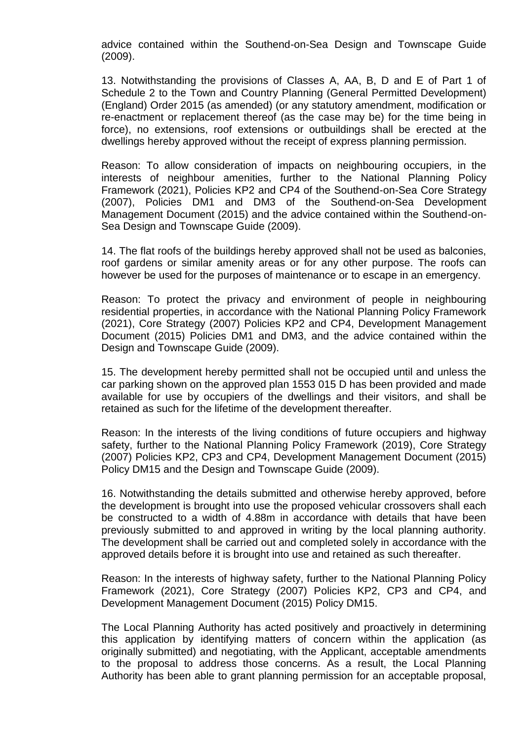advice contained within the Southend-on-Sea Design and Townscape Guide (2009).

13. Notwithstanding the provisions of Classes A, AA, B, D and E of Part 1 of Schedule 2 to the Town and Country Planning (General Permitted Development) (England) Order 2015 (as amended) (or any statutory amendment, modification or re-enactment or replacement thereof (as the case may be) for the time being in force), no extensions, roof extensions or outbuildings shall be erected at the dwellings hereby approved without the receipt of express planning permission.

Reason: To allow consideration of impacts on neighbouring occupiers, in the interests of neighbour amenities, further to the National Planning Policy Framework (2021), Policies KP2 and CP4 of the Southend-on-Sea Core Strategy (2007), Policies DM1 and DM3 of the Southend-on-Sea Development Management Document (2015) and the advice contained within the Southend-on-Sea Design and Townscape Guide (2009).

14. The flat roofs of the buildings hereby approved shall not be used as balconies, roof gardens or similar amenity areas or for any other purpose. The roofs can however be used for the purposes of maintenance or to escape in an emergency.

Reason: To protect the privacy and environment of people in neighbouring residential properties, in accordance with the National Planning Policy Framework (2021), Core Strategy (2007) Policies KP2 and CP4, Development Management Document (2015) Policies DM1 and DM3, and the advice contained within the Design and Townscape Guide (2009).

15. The development hereby permitted shall not be occupied until and unless the car parking shown on the approved plan 1553 015 D has been provided and made available for use by occupiers of the dwellings and their visitors, and shall be retained as such for the lifetime of the development thereafter.

Reason: In the interests of the living conditions of future occupiers and highway safety, further to the National Planning Policy Framework (2019), Core Strategy (2007) Policies KP2, CP3 and CP4, Development Management Document (2015) Policy DM15 and the Design and Townscape Guide (2009).

16. Notwithstanding the details submitted and otherwise hereby approved, before the development is brought into use the proposed vehicular crossovers shall each be constructed to a width of 4.88m in accordance with details that have been previously submitted to and approved in writing by the local planning authority. The development shall be carried out and completed solely in accordance with the approved details before it is brought into use and retained as such thereafter.

Reason: In the interests of highway safety, further to the National Planning Policy Framework (2021), Core Strategy (2007) Policies KP2, CP3 and CP4, and Development Management Document (2015) Policy DM15.

The Local Planning Authority has acted positively and proactively in determining this application by identifying matters of concern within the application (as originally submitted) and negotiating, with the Applicant, acceptable amendments to the proposal to address those concerns. As a result, the Local Planning Authority has been able to grant planning permission for an acceptable proposal,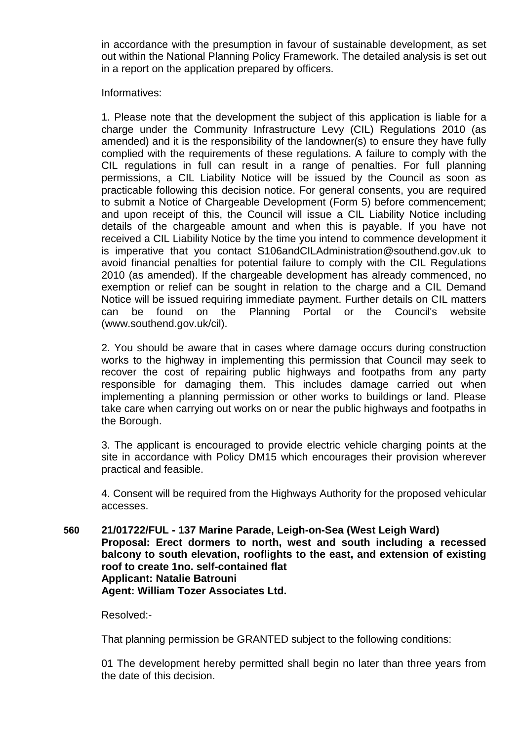in accordance with the presumption in favour of sustainable development, as set out within the National Planning Policy Framework. The detailed analysis is set out in a report on the application prepared by officers.

Informatives:

1. Please note that the development the subject of this application is liable for a charge under the Community Infrastructure Levy (CIL) Regulations 2010 (as amended) and it is the responsibility of the landowner(s) to ensure they have fully complied with the requirements of these regulations. A failure to comply with the CIL regulations in full can result in a range of penalties. For full planning permissions, a CIL Liability Notice will be issued by the Council as soon as practicable following this decision notice. For general consents, you are required to submit a Notice of Chargeable Development (Form 5) before commencement; and upon receipt of this, the Council will issue a CIL Liability Notice including details of the chargeable amount and when this is payable. If you have not received a CIL Liability Notice by the time you intend to commence development it is imperative that you contact S106andCILAdministration@southend.gov.uk to avoid financial penalties for potential failure to comply with the CIL Regulations 2010 (as amended). If the chargeable development has already commenced, no exemption or relief can be sought in relation to the charge and a CIL Demand Notice will be issued requiring immediate payment. Further details on CIL matters can be found on the Planning Portal or the Council's website (www.southend.gov.uk/cil).

2. You should be aware that in cases where damage occurs during construction works to the highway in implementing this permission that Council may seek to recover the cost of repairing public highways and footpaths from any party responsible for damaging them. This includes damage carried out when implementing a planning permission or other works to buildings or land. Please take care when carrying out works on or near the public highways and footpaths in the Borough.

3. The applicant is encouraged to provide electric vehicle charging points at the site in accordance with Policy DM15 which encourages their provision wherever practical and feasible.

4. Consent will be required from the Highways Authority for the proposed vehicular accesses.

**560 21/01722/FUL - 137 Marine Parade, Leigh-on-Sea (West Leigh Ward) Proposal: Erect dormers to north, west and south including a recessed balcony to south elevation, rooflights to the east, and extension of existing roof to create 1no. self-contained flat Applicant: Natalie Batrouni Agent: William Tozer Associates Ltd.**

Resolved:-

That planning permission be GRANTED subject to the following conditions:

01 The development hereby permitted shall begin no later than three years from the date of this decision.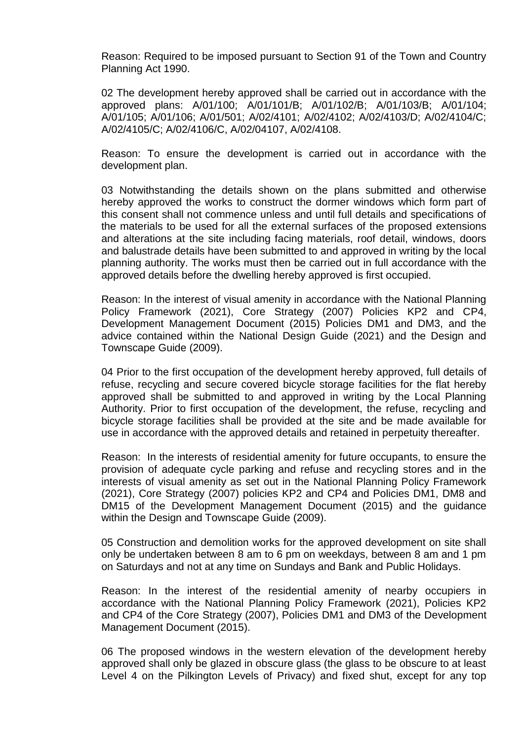Reason: Required to be imposed pursuant to Section 91 of the Town and Country Planning Act 1990.

02 The development hereby approved shall be carried out in accordance with the approved plans: A/01/100; A/01/101/B; A/01/102/B; A/01/103/B; A/01/104; A/01/105; A/01/106; A/01/501; A/02/4101; A/02/4102; A/02/4103/D; A/02/4104/C; A/02/4105/C; A/02/4106/C, A/02/04107, A/02/4108.

Reason: To ensure the development is carried out in accordance with the development plan.

03 Notwithstanding the details shown on the plans submitted and otherwise hereby approved the works to construct the dormer windows which form part of this consent shall not commence unless and until full details and specifications of the materials to be used for all the external surfaces of the proposed extensions and alterations at the site including facing materials, roof detail, windows, doors and balustrade details have been submitted to and approved in writing by the local planning authority. The works must then be carried out in full accordance with the approved details before the dwelling hereby approved is first occupied.

Reason: In the interest of visual amenity in accordance with the National Planning Policy Framework (2021), Core Strategy (2007) Policies KP2 and CP4, Development Management Document (2015) Policies DM1 and DM3, and the advice contained within the National Design Guide (2021) and the Design and Townscape Guide (2009).

04 Prior to the first occupation of the development hereby approved, full details of refuse, recycling and secure covered bicycle storage facilities for the flat hereby approved shall be submitted to and approved in writing by the Local Planning Authority. Prior to first occupation of the development, the refuse, recycling and bicycle storage facilities shall be provided at the site and be made available for use in accordance with the approved details and retained in perpetuity thereafter.

Reason: In the interests of residential amenity for future occupants, to ensure the provision of adequate cycle parking and refuse and recycling stores and in the interests of visual amenity as set out in the National Planning Policy Framework (2021), Core Strategy (2007) policies KP2 and CP4 and Policies DM1, DM8 and DM15 of the Development Management Document (2015) and the guidance within the Design and Townscape Guide (2009).

05 Construction and demolition works for the approved development on site shall only be undertaken between 8 am to 6 pm on weekdays, between 8 am and 1 pm on Saturdays and not at any time on Sundays and Bank and Public Holidays.

Reason: In the interest of the residential amenity of nearby occupiers in accordance with the National Planning Policy Framework (2021), Policies KP2 and CP4 of the Core Strategy (2007), Policies DM1 and DM3 of the Development Management Document (2015).

06 The proposed windows in the western elevation of the development hereby approved shall only be glazed in obscure glass (the glass to be obscure to at least Level 4 on the Pilkington Levels of Privacy) and fixed shut, except for any top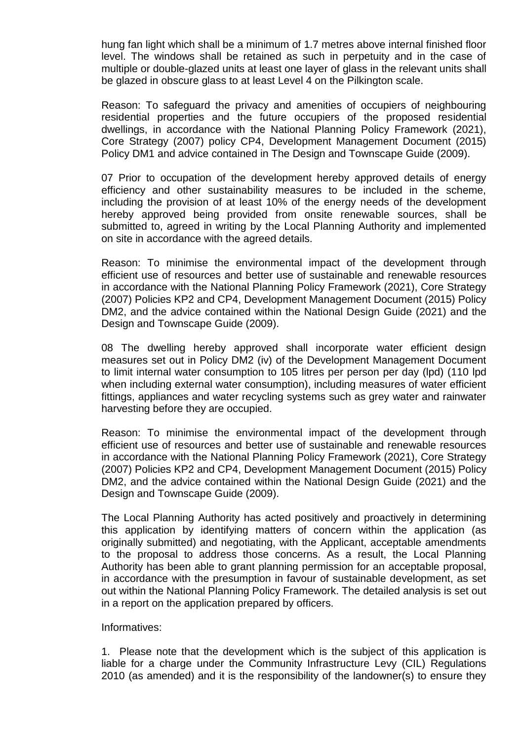hung fan light which shall be a minimum of 1.7 metres above internal finished floor level. The windows shall be retained as such in perpetuity and in the case of multiple or double-glazed units at least one layer of glass in the relevant units shall be glazed in obscure glass to at least Level 4 on the Pilkington scale.

Reason: To safeguard the privacy and amenities of occupiers of neighbouring residential properties and the future occupiers of the proposed residential dwellings, in accordance with the National Planning Policy Framework (2021), Core Strategy (2007) policy CP4, Development Management Document (2015) Policy DM1 and advice contained in The Design and Townscape Guide (2009).

07 Prior to occupation of the development hereby approved details of energy efficiency and other sustainability measures to be included in the scheme, including the provision of at least 10% of the energy needs of the development hereby approved being provided from onsite renewable sources, shall be submitted to, agreed in writing by the Local Planning Authority and implemented on site in accordance with the agreed details.

Reason: To minimise the environmental impact of the development through efficient use of resources and better use of sustainable and renewable resources in accordance with the National Planning Policy Framework (2021), Core Strategy (2007) Policies KP2 and CP4, Development Management Document (2015) Policy DM2, and the advice contained within the National Design Guide (2021) and the Design and Townscape Guide (2009).

08 The dwelling hereby approved shall incorporate water efficient design measures set out in Policy DM2 (iv) of the Development Management Document to limit internal water consumption to 105 litres per person per day (lpd) (110 lpd when including external water consumption), including measures of water efficient fittings, appliances and water recycling systems such as grey water and rainwater harvesting before they are occupied.

Reason: To minimise the environmental impact of the development through efficient use of resources and better use of sustainable and renewable resources in accordance with the National Planning Policy Framework (2021), Core Strategy (2007) Policies KP2 and CP4, Development Management Document (2015) Policy DM2, and the advice contained within the National Design Guide (2021) and the Design and Townscape Guide (2009).

The Local Planning Authority has acted positively and proactively in determining this application by identifying matters of concern within the application (as originally submitted) and negotiating, with the Applicant, acceptable amendments to the proposal to address those concerns. As a result, the Local Planning Authority has been able to grant planning permission for an acceptable proposal, in accordance with the presumption in favour of sustainable development, as set out within the National Planning Policy Framework. The detailed analysis is set out in a report on the application prepared by officers.

#### Informatives:

1. Please note that the development which is the subject of this application is liable for a charge under the Community Infrastructure Levy (CIL) Regulations 2010 (as amended) and it is the responsibility of the landowner(s) to ensure they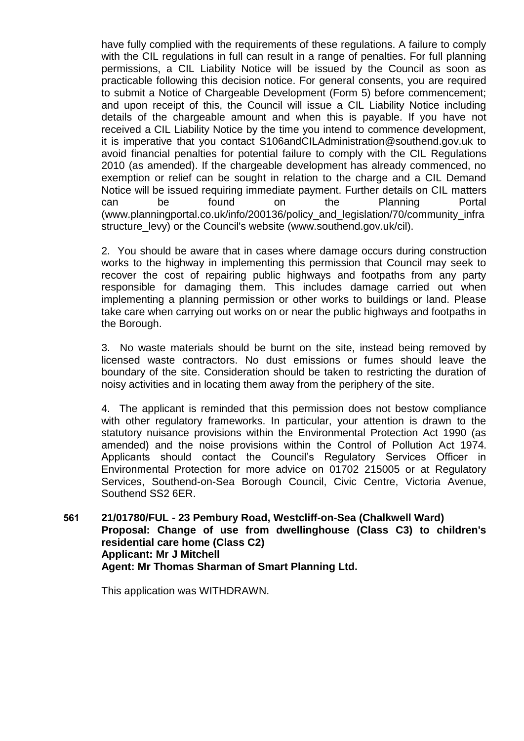have fully complied with the requirements of these regulations. A failure to comply with the CIL regulations in full can result in a range of penalties. For full planning permissions, a CIL Liability Notice will be issued by the Council as soon as practicable following this decision notice. For general consents, you are required to submit a Notice of Chargeable Development (Form 5) before commencement; and upon receipt of this, the Council will issue a CIL Liability Notice including details of the chargeable amount and when this is payable. If you have not received a CIL Liability Notice by the time you intend to commence development, it is imperative that you contact S106andCILAdministration@southend.gov.uk to avoid financial penalties for potential failure to comply with the CIL Regulations 2010 (as amended). If the chargeable development has already commenced, no exemption or relief can be sought in relation to the charge and a CIL Demand Notice will be issued requiring immediate payment. Further details on CIL matters can be found on the Planning Portal (www.planningportal.co.uk/info/200136/policy\_and\_legislation/70/community\_infra structure levy) or the Council's website (www.southend.gov.uk/cil).

2. You should be aware that in cases where damage occurs during construction works to the highway in implementing this permission that Council may seek to recover the cost of repairing public highways and footpaths from any party responsible for damaging them. This includes damage carried out when implementing a planning permission or other works to buildings or land. Please take care when carrying out works on or near the public highways and footpaths in the Borough.

3. No waste materials should be burnt on the site, instead being removed by licensed waste contractors. No dust emissions or fumes should leave the boundary of the site. Consideration should be taken to restricting the duration of noisy activities and in locating them away from the periphery of the site.

4. The applicant is reminded that this permission does not bestow compliance with other regulatory frameworks. In particular, your attention is drawn to the statutory nuisance provisions within the Environmental Protection Act 1990 (as amended) and the noise provisions within the Control of Pollution Act 1974. Applicants should contact the Council's Regulatory Services Officer in Environmental Protection for more advice on 01702 215005 or at Regulatory Services, Southend-on-Sea Borough Council, Civic Centre, Victoria Avenue, Southend SS2 6ER.

**561 21/01780/FUL - 23 Pembury Road, Westcliff-on-Sea (Chalkwell Ward) Proposal: Change of use from dwellinghouse (Class C3) to children's residential care home (Class C2) Applicant: Mr J Mitchell Agent: Mr Thomas Sharman of Smart Planning Ltd.**

This application was WITHDRAWN.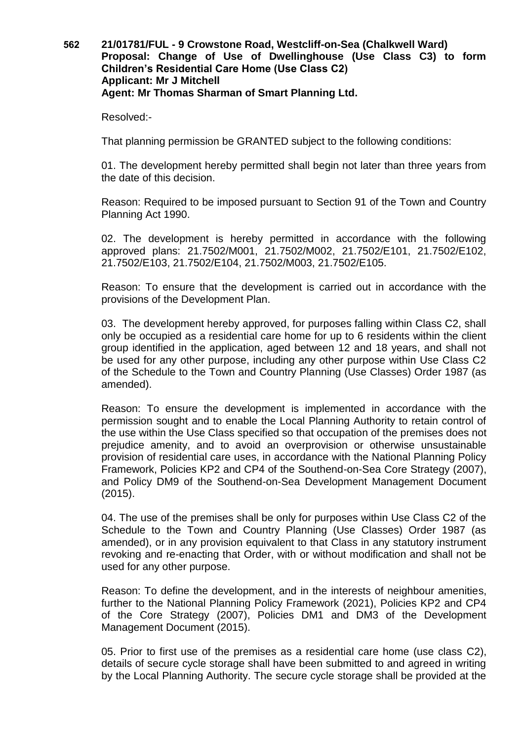## **562 21/01781/FUL - 9 Crowstone Road, Westcliff-on-Sea (Chalkwell Ward) Proposal: Change of Use of Dwellinghouse (Use Class C3) to form Children's Residential Care Home (Use Class C2) Applicant: Mr J Mitchell Agent: Mr Thomas Sharman of Smart Planning Ltd.**

Resolved:-

That planning permission be GRANTED subject to the following conditions:

01. The development hereby permitted shall begin not later than three years from the date of this decision.

Reason: Required to be imposed pursuant to Section 91 of the Town and Country Planning Act 1990.

02. The development is hereby permitted in accordance with the following approved plans: 21.7502/M001, 21.7502/M002, 21.7502/E101, 21.7502/E102, 21.7502/E103, 21.7502/E104, 21.7502/M003, 21.7502/E105.

Reason: To ensure that the development is carried out in accordance with the provisions of the Development Plan.

03. The development hereby approved, for purposes falling within Class C2, shall only be occupied as a residential care home for up to 6 residents within the client group identified in the application, aged between 12 and 18 years, and shall not be used for any other purpose, including any other purpose within Use Class C2 of the Schedule to the Town and Country Planning (Use Classes) Order 1987 (as amended).

Reason: To ensure the development is implemented in accordance with the permission sought and to enable the Local Planning Authority to retain control of the use within the Use Class specified so that occupation of the premises does not prejudice amenity, and to avoid an overprovision or otherwise unsustainable provision of residential care uses, in accordance with the National Planning Policy Framework, Policies KP2 and CP4 of the Southend-on-Sea Core Strategy (2007), and Policy DM9 of the Southend-on-Sea Development Management Document (2015).

04. The use of the premises shall be only for purposes within Use Class C2 of the Schedule to the Town and Country Planning (Use Classes) Order 1987 (as amended), or in any provision equivalent to that Class in any statutory instrument revoking and re-enacting that Order, with or without modification and shall not be used for any other purpose.

Reason: To define the development, and in the interests of neighbour amenities, further to the National Planning Policy Framework (2021), Policies KP2 and CP4 of the Core Strategy (2007), Policies DM1 and DM3 of the Development Management Document (2015).

05. Prior to first use of the premises as a residential care home (use class C2), details of secure cycle storage shall have been submitted to and agreed in writing by the Local Planning Authority. The secure cycle storage shall be provided at the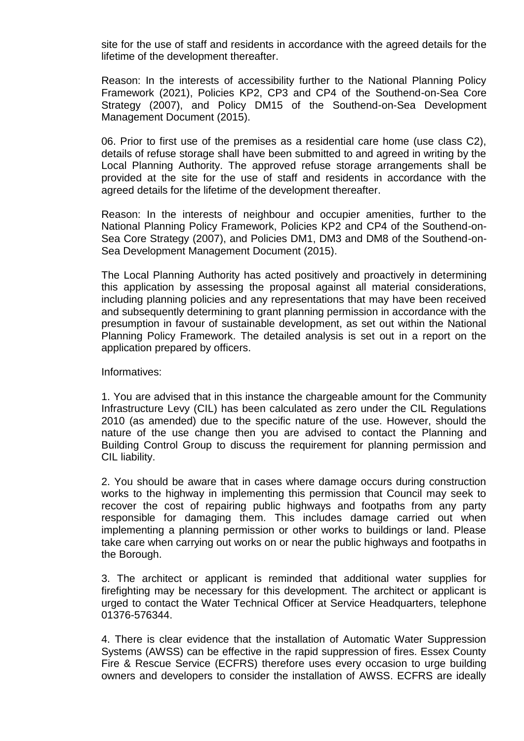site for the use of staff and residents in accordance with the agreed details for the lifetime of the development thereafter.

Reason: In the interests of accessibility further to the National Planning Policy Framework (2021), Policies KP2, CP3 and CP4 of the Southend-on-Sea Core Strategy (2007), and Policy DM15 of the Southend-on-Sea Development Management Document (2015).

06. Prior to first use of the premises as a residential care home (use class C2), details of refuse storage shall have been submitted to and agreed in writing by the Local Planning Authority. The approved refuse storage arrangements shall be provided at the site for the use of staff and residents in accordance with the agreed details for the lifetime of the development thereafter.

Reason: In the interests of neighbour and occupier amenities, further to the National Planning Policy Framework, Policies KP2 and CP4 of the Southend-on-Sea Core Strategy (2007), and Policies DM1, DM3 and DM8 of the Southend-on-Sea Development Management Document (2015).

The Local Planning Authority has acted positively and proactively in determining this application by assessing the proposal against all material considerations, including planning policies and any representations that may have been received and subsequently determining to grant planning permission in accordance with the presumption in favour of sustainable development, as set out within the National Planning Policy Framework. The detailed analysis is set out in a report on the application prepared by officers.

Informatives:

1. You are advised that in this instance the chargeable amount for the Community Infrastructure Levy (CIL) has been calculated as zero under the CIL Regulations 2010 (as amended) due to the specific nature of the use. However, should the nature of the use change then you are advised to contact the Planning and Building Control Group to discuss the requirement for planning permission and CIL liability.

2. You should be aware that in cases where damage occurs during construction works to the highway in implementing this permission that Council may seek to recover the cost of repairing public highways and footpaths from any party responsible for damaging them. This includes damage carried out when implementing a planning permission or other works to buildings or land. Please take care when carrying out works on or near the public highways and footpaths in the Borough.

3. The architect or applicant is reminded that additional water supplies for firefighting may be necessary for this development. The architect or applicant is urged to contact the Water Technical Officer at Service Headquarters, telephone 01376-576344.

4. There is clear evidence that the installation of Automatic Water Suppression Systems (AWSS) can be effective in the rapid suppression of fires. Essex County Fire & Rescue Service (ECFRS) therefore uses every occasion to urge building owners and developers to consider the installation of AWSS. ECFRS are ideally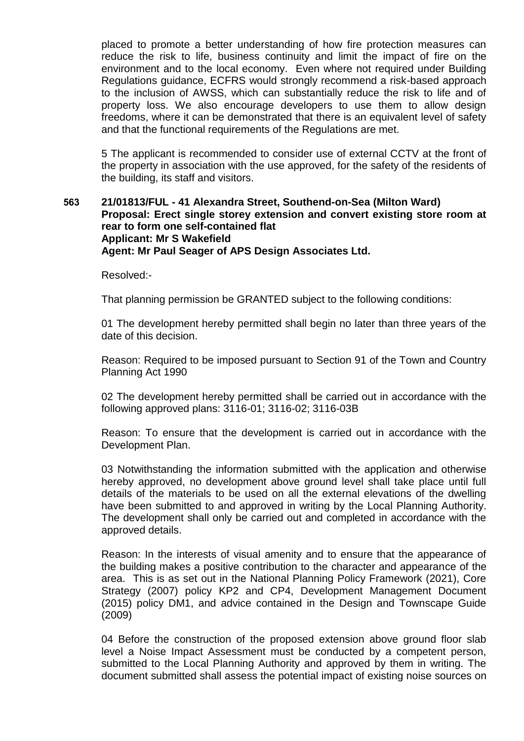placed to promote a better understanding of how fire protection measures can reduce the risk to life, business continuity and limit the impact of fire on the environment and to the local economy. Even where not required under Building Regulations guidance, ECFRS would strongly recommend a risk-based approach to the inclusion of AWSS, which can substantially reduce the risk to life and of property loss. We also encourage developers to use them to allow design freedoms, where it can be demonstrated that there is an equivalent level of safety and that the functional requirements of the Regulations are met.

5 The applicant is recommended to consider use of external CCTV at the front of the property in association with the use approved, for the safety of the residents of the building, its staff and visitors.

## **563 21/01813/FUL - 41 Alexandra Street, Southend-on-Sea (Milton Ward) Proposal: Erect single storey extension and convert existing store room at rear to form one self-contained flat Applicant: Mr S Wakefield Agent: Mr Paul Seager of APS Design Associates Ltd.**

Resolved:-

That planning permission be GRANTED subject to the following conditions:

01 The development hereby permitted shall begin no later than three years of the date of this decision.

Reason: Required to be imposed pursuant to Section 91 of the Town and Country Planning Act 1990

02 The development hereby permitted shall be carried out in accordance with the following approved plans: 3116-01; 3116-02; 3116-03B

Reason: To ensure that the development is carried out in accordance with the Development Plan.

03 Notwithstanding the information submitted with the application and otherwise hereby approved, no development above ground level shall take place until full details of the materials to be used on all the external elevations of the dwelling have been submitted to and approved in writing by the Local Planning Authority. The development shall only be carried out and completed in accordance with the approved details.

Reason: In the interests of visual amenity and to ensure that the appearance of the building makes a positive contribution to the character and appearance of the area. This is as set out in the National Planning Policy Framework (2021), Core Strategy (2007) policy KP2 and CP4, Development Management Document (2015) policy DM1, and advice contained in the Design and Townscape Guide (2009)

04 Before the construction of the proposed extension above ground floor slab level a Noise Impact Assessment must be conducted by a competent person, submitted to the Local Planning Authority and approved by them in writing. The document submitted shall assess the potential impact of existing noise sources on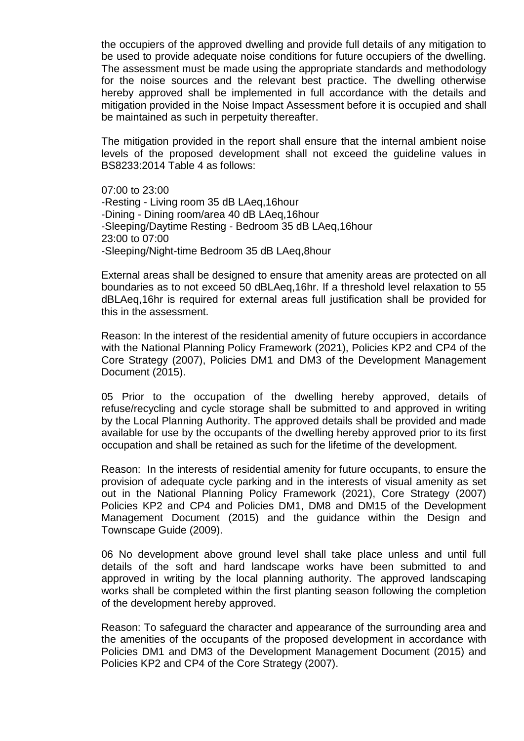the occupiers of the approved dwelling and provide full details of any mitigation to be used to provide adequate noise conditions for future occupiers of the dwelling. The assessment must be made using the appropriate standards and methodology for the noise sources and the relevant best practice. The dwelling otherwise hereby approved shall be implemented in full accordance with the details and mitigation provided in the Noise Impact Assessment before it is occupied and shall be maintained as such in perpetuity thereafter.

The mitigation provided in the report shall ensure that the internal ambient noise levels of the proposed development shall not exceed the guideline values in BS8233:2014 Table 4 as follows:

07:00 to 23:00 -Resting - Living room 35 dB LAeq,16hour -Dining - Dining room/area 40 dB LAeq,16hour -Sleeping/Daytime Resting - Bedroom 35 dB LAeq,16hour 23:00 to 07:00 -Sleeping/Night-time Bedroom 35 dB LAeq,8hour

External areas shall be designed to ensure that amenity areas are protected on all boundaries as to not exceed 50 dBLAeq,16hr. If a threshold level relaxation to 55 dBLAeq,16hr is required for external areas full justification shall be provided for this in the assessment.

Reason: In the interest of the residential amenity of future occupiers in accordance with the National Planning Policy Framework (2021), Policies KP2 and CP4 of the Core Strategy (2007), Policies DM1 and DM3 of the Development Management Document (2015).

05 Prior to the occupation of the dwelling hereby approved, details of refuse/recycling and cycle storage shall be submitted to and approved in writing by the Local Planning Authority. The approved details shall be provided and made available for use by the occupants of the dwelling hereby approved prior to its first occupation and shall be retained as such for the lifetime of the development.

Reason: In the interests of residential amenity for future occupants, to ensure the provision of adequate cycle parking and in the interests of visual amenity as set out in the National Planning Policy Framework (2021), Core Strategy (2007) Policies KP2 and CP4 and Policies DM1, DM8 and DM15 of the Development Management Document (2015) and the guidance within the Design and Townscape Guide (2009).

06 No development above ground level shall take place unless and until full details of the soft and hard landscape works have been submitted to and approved in writing by the local planning authority. The approved landscaping works shall be completed within the first planting season following the completion of the development hereby approved.

Reason: To safeguard the character and appearance of the surrounding area and the amenities of the occupants of the proposed development in accordance with Policies DM1 and DM3 of the Development Management Document (2015) and Policies KP2 and CP4 of the Core Strategy (2007).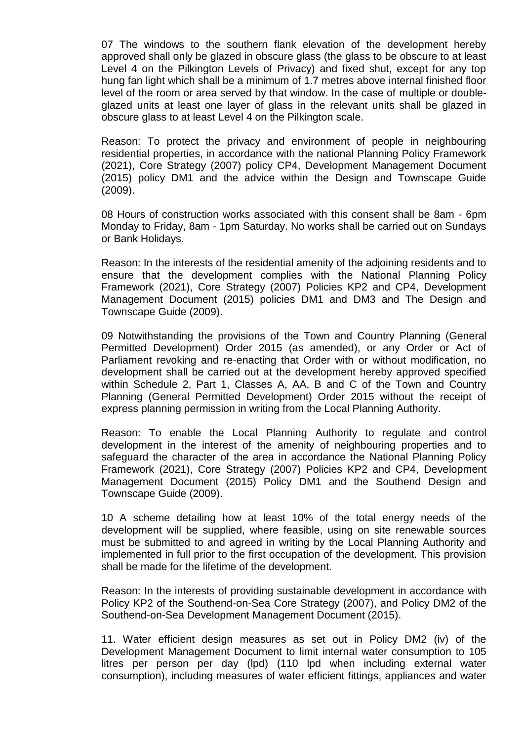07 The windows to the southern flank elevation of the development hereby approved shall only be glazed in obscure glass (the glass to be obscure to at least Level 4 on the Pilkington Levels of Privacy) and fixed shut, except for any top hung fan light which shall be a minimum of 1.7 metres above internal finished floor level of the room or area served by that window. In the case of multiple or doubleglazed units at least one layer of glass in the relevant units shall be glazed in obscure glass to at least Level 4 on the Pilkington scale.

Reason: To protect the privacy and environment of people in neighbouring residential properties, in accordance with the national Planning Policy Framework (2021), Core Strategy (2007) policy CP4, Development Management Document (2015) policy DM1 and the advice within the Design and Townscape Guide (2009).

08 Hours of construction works associated with this consent shall be 8am - 6pm Monday to Friday, 8am - 1pm Saturday. No works shall be carried out on Sundays or Bank Holidays.

Reason: In the interests of the residential amenity of the adjoining residents and to ensure that the development complies with the National Planning Policy Framework (2021), Core Strategy (2007) Policies KP2 and CP4, Development Management Document (2015) policies DM1 and DM3 and The Design and Townscape Guide (2009).

09 Notwithstanding the provisions of the Town and Country Planning (General Permitted Development) Order 2015 (as amended), or any Order or Act of Parliament revoking and re-enacting that Order with or without modification, no development shall be carried out at the development hereby approved specified within Schedule 2, Part 1, Classes A, AA, B and C of the Town and Country Planning (General Permitted Development) Order 2015 without the receipt of express planning permission in writing from the Local Planning Authority.

Reason: To enable the Local Planning Authority to regulate and control development in the interest of the amenity of neighbouring properties and to safeguard the character of the area in accordance the National Planning Policy Framework (2021), Core Strategy (2007) Policies KP2 and CP4, Development Management Document (2015) Policy DM1 and the Southend Design and Townscape Guide (2009).

10 A scheme detailing how at least 10% of the total energy needs of the development will be supplied, where feasible, using on site renewable sources must be submitted to and agreed in writing by the Local Planning Authority and implemented in full prior to the first occupation of the development. This provision shall be made for the lifetime of the development.

Reason: In the interests of providing sustainable development in accordance with Policy KP2 of the Southend-on-Sea Core Strategy (2007), and Policy DM2 of the Southend-on-Sea Development Management Document (2015).

11. Water efficient design measures as set out in Policy DM2 (iv) of the Development Management Document to limit internal water consumption to 105 litres per person per day (lpd) (110 lpd when including external water consumption), including measures of water efficient fittings, appliances and water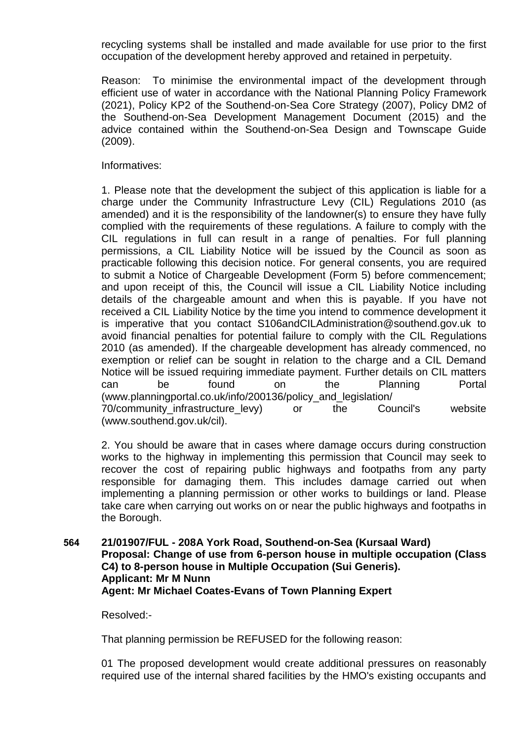recycling systems shall be installed and made available for use prior to the first occupation of the development hereby approved and retained in perpetuity.

Reason: To minimise the environmental impact of the development through efficient use of water in accordance with the National Planning Policy Framework (2021), Policy KP2 of the Southend-on-Sea Core Strategy (2007), Policy DM2 of the Southend-on-Sea Development Management Document (2015) and the advice contained within the Southend-on-Sea Design and Townscape Guide (2009).

Informatives:

1. Please note that the development the subject of this application is liable for a charge under the Community Infrastructure Levy (CIL) Regulations 2010 (as amended) and it is the responsibility of the landowner(s) to ensure they have fully complied with the requirements of these regulations. A failure to comply with the CIL regulations in full can result in a range of penalties. For full planning permissions, a CIL Liability Notice will be issued by the Council as soon as practicable following this decision notice. For general consents, you are required to submit a Notice of Chargeable Development (Form 5) before commencement; and upon receipt of this, the Council will issue a CIL Liability Notice including details of the chargeable amount and when this is payable. If you have not received a CIL Liability Notice by the time you intend to commence development it is imperative that you contact S106andCILAdministration@southend.gov.uk to avoid financial penalties for potential failure to comply with the CIL Regulations 2010 (as amended). If the chargeable development has already commenced, no exemption or relief can be sought in relation to the charge and a CIL Demand Notice will be issued requiring immediate payment. Further details on CIL matters can be found on the Planning Portal (www.planningportal.co.uk/info/200136/policy\_and\_legislation/ 70/community\_infrastructure\_levy) or the Council's website (www.southend.gov.uk/cil).

2. You should be aware that in cases where damage occurs during construction works to the highway in implementing this permission that Council may seek to recover the cost of repairing public highways and footpaths from any party responsible for damaging them. This includes damage carried out when implementing a planning permission or other works to buildings or land. Please take care when carrying out works on or near the public highways and footpaths in the Borough.

**564 21/01907/FUL - 208A York Road, Southend-on-Sea (Kursaal Ward) Proposal: Change of use from 6-person house in multiple occupation (Class C4) to 8-person house in Multiple Occupation (Sui Generis). Applicant: Mr M Nunn Agent: Mr Michael Coates-Evans of Town Planning Expert**

Resolved:-

That planning permission be REFUSED for the following reason:

01 The proposed development would create additional pressures on reasonably required use of the internal shared facilities by the HMO's existing occupants and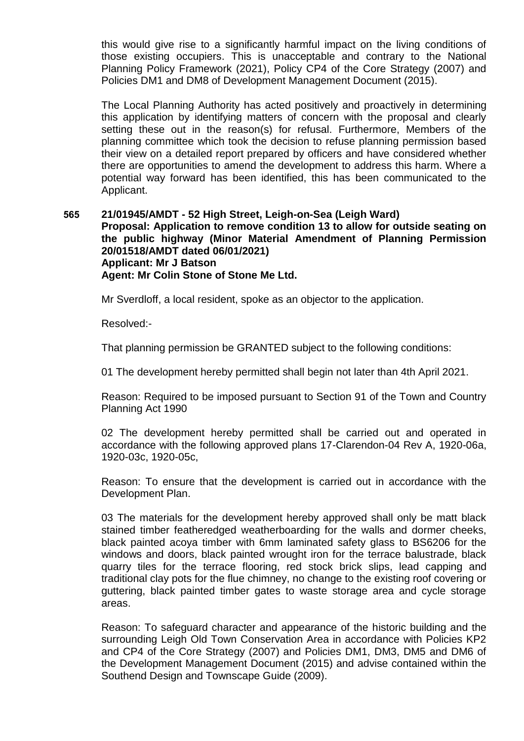this would give rise to a significantly harmful impact on the living conditions of those existing occupiers. This is unacceptable and contrary to the National Planning Policy Framework (2021), Policy CP4 of the Core Strategy (2007) and Policies DM1 and DM8 of Development Management Document (2015).

The Local Planning Authority has acted positively and proactively in determining this application by identifying matters of concern with the proposal and clearly setting these out in the reason(s) for refusal. Furthermore, Members of the planning committee which took the decision to refuse planning permission based their view on a detailed report prepared by officers and have considered whether there are opportunities to amend the development to address this harm. Where a potential way forward has been identified, this has been communicated to the Applicant.

## **565 21/01945/AMDT - 52 High Street, Leigh-on-Sea (Leigh Ward) Proposal: Application to remove condition 13 to allow for outside seating on the public highway (Minor Material Amendment of Planning Permission 20/01518/AMDT dated 06/01/2021) Applicant: Mr J Batson Agent: Mr Colin Stone of Stone Me Ltd.**

Mr Sverdloff, a local resident, spoke as an objector to the application.

Resolved:-

That planning permission be GRANTED subject to the following conditions:

01 The development hereby permitted shall begin not later than 4th April 2021.

Reason: Required to be imposed pursuant to Section 91 of the Town and Country Planning Act 1990

02 The development hereby permitted shall be carried out and operated in accordance with the following approved plans 17-Clarendon-04 Rev A, 1920-06a, 1920-03c, 1920-05c,

Reason: To ensure that the development is carried out in accordance with the Development Plan.

03 The materials for the development hereby approved shall only be matt black stained timber featheredged weatherboarding for the walls and dormer cheeks, black painted acoya timber with 6mm laminated safety glass to BS6206 for the windows and doors, black painted wrought iron for the terrace balustrade, black quarry tiles for the terrace flooring, red stock brick slips, lead capping and traditional clay pots for the flue chimney, no change to the existing roof covering or guttering, black painted timber gates to waste storage area and cycle storage areas.

Reason: To safeguard character and appearance of the historic building and the surrounding Leigh Old Town Conservation Area in accordance with Policies KP2 and CP4 of the Core Strategy (2007) and Policies DM1, DM3, DM5 and DM6 of the Development Management Document (2015) and advise contained within the Southend Design and Townscape Guide (2009).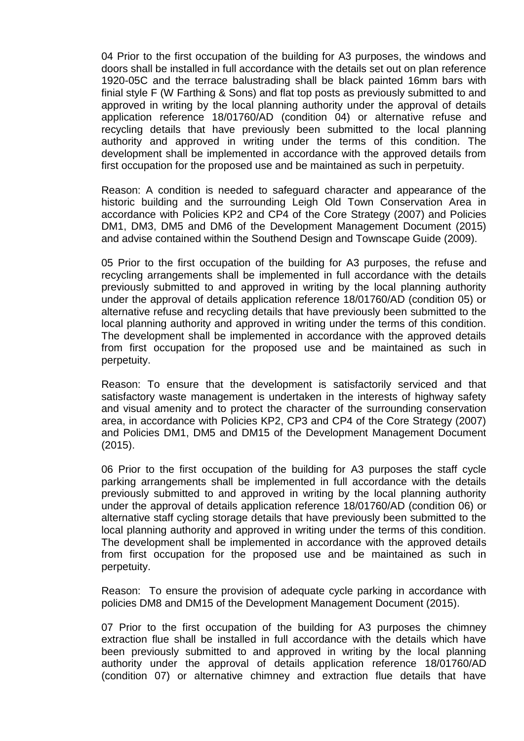04 Prior to the first occupation of the building for A3 purposes, the windows and doors shall be installed in full accordance with the details set out on plan reference 1920-05C and the terrace balustrading shall be black painted 16mm bars with finial style F (W Farthing & Sons) and flat top posts as previously submitted to and approved in writing by the local planning authority under the approval of details application reference 18/01760/AD (condition 04) or alternative refuse and recycling details that have previously been submitted to the local planning authority and approved in writing under the terms of this condition. The development shall be implemented in accordance with the approved details from first occupation for the proposed use and be maintained as such in perpetuity.

Reason: A condition is needed to safeguard character and appearance of the historic building and the surrounding Leigh Old Town Conservation Area in accordance with Policies KP2 and CP4 of the Core Strategy (2007) and Policies DM1, DM3, DM5 and DM6 of the Development Management Document (2015) and advise contained within the Southend Design and Townscape Guide (2009).

05 Prior to the first occupation of the building for A3 purposes, the refuse and recycling arrangements shall be implemented in full accordance with the details previously submitted to and approved in writing by the local planning authority under the approval of details application reference 18/01760/AD (condition 05) or alternative refuse and recycling details that have previously been submitted to the local planning authority and approved in writing under the terms of this condition. The development shall be implemented in accordance with the approved details from first occupation for the proposed use and be maintained as such in perpetuity.

Reason: To ensure that the development is satisfactorily serviced and that satisfactory waste management is undertaken in the interests of highway safety and visual amenity and to protect the character of the surrounding conservation area, in accordance with Policies KP2, CP3 and CP4 of the Core Strategy (2007) and Policies DM1, DM5 and DM15 of the Development Management Document (2015).

06 Prior to the first occupation of the building for A3 purposes the staff cycle parking arrangements shall be implemented in full accordance with the details previously submitted to and approved in writing by the local planning authority under the approval of details application reference 18/01760/AD (condition 06) or alternative staff cycling storage details that have previously been submitted to the local planning authority and approved in writing under the terms of this condition. The development shall be implemented in accordance with the approved details from first occupation for the proposed use and be maintained as such in perpetuity.

Reason: To ensure the provision of adequate cycle parking in accordance with policies DM8 and DM15 of the Development Management Document (2015).

07 Prior to the first occupation of the building for A3 purposes the chimney extraction flue shall be installed in full accordance with the details which have been previously submitted to and approved in writing by the local planning authority under the approval of details application reference 18/01760/AD (condition 07) or alternative chimney and extraction flue details that have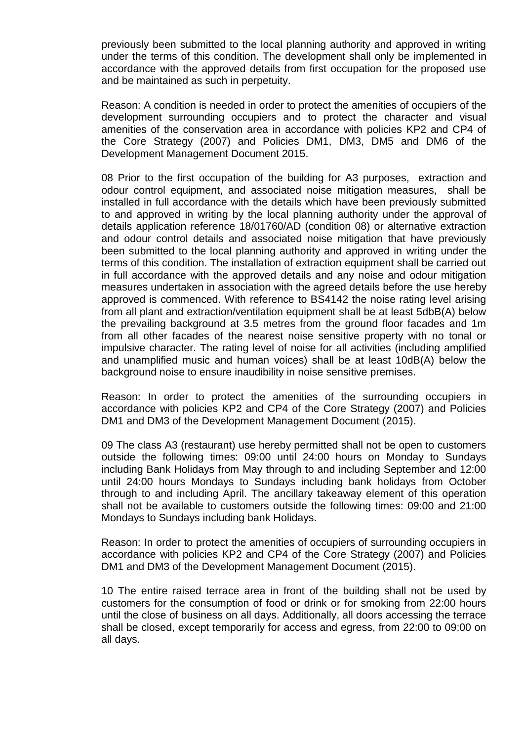previously been submitted to the local planning authority and approved in writing under the terms of this condition. The development shall only be implemented in accordance with the approved details from first occupation for the proposed use and be maintained as such in perpetuity.

Reason: A condition is needed in order to protect the amenities of occupiers of the development surrounding occupiers and to protect the character and visual amenities of the conservation area in accordance with policies KP2 and CP4 of the Core Strategy (2007) and Policies DM1, DM3, DM5 and DM6 of the Development Management Document 2015.

08 Prior to the first occupation of the building for A3 purposes, extraction and odour control equipment, and associated noise mitigation measures, shall be installed in full accordance with the details which have been previously submitted to and approved in writing by the local planning authority under the approval of details application reference 18/01760/AD (condition 08) or alternative extraction and odour control details and associated noise mitigation that have previously been submitted to the local planning authority and approved in writing under the terms of this condition. The installation of extraction equipment shall be carried out in full accordance with the approved details and any noise and odour mitigation measures undertaken in association with the agreed details before the use hereby approved is commenced. With reference to BS4142 the noise rating level arising from all plant and extraction/ventilation equipment shall be at least 5dbB(A) below the prevailing background at 3.5 metres from the ground floor facades and 1m from all other facades of the nearest noise sensitive property with no tonal or impulsive character. The rating level of noise for all activities (including amplified and unamplified music and human voices) shall be at least 10dB(A) below the background noise to ensure inaudibility in noise sensitive premises.

Reason: In order to protect the amenities of the surrounding occupiers in accordance with policies KP2 and CP4 of the Core Strategy (2007) and Policies DM1 and DM3 of the Development Management Document (2015).

09 The class A3 (restaurant) use hereby permitted shall not be open to customers outside the following times: 09:00 until 24:00 hours on Monday to Sundays including Bank Holidays from May through to and including September and 12:00 until 24:00 hours Mondays to Sundays including bank holidays from October through to and including April. The ancillary takeaway element of this operation shall not be available to customers outside the following times: 09:00 and 21:00 Mondays to Sundays including bank Holidays.

Reason: In order to protect the amenities of occupiers of surrounding occupiers in accordance with policies KP2 and CP4 of the Core Strategy (2007) and Policies DM1 and DM3 of the Development Management Document (2015).

10 The entire raised terrace area in front of the building shall not be used by customers for the consumption of food or drink or for smoking from 22:00 hours until the close of business on all days. Additionally, all doors accessing the terrace shall be closed, except temporarily for access and egress, from 22:00 to 09:00 on all days.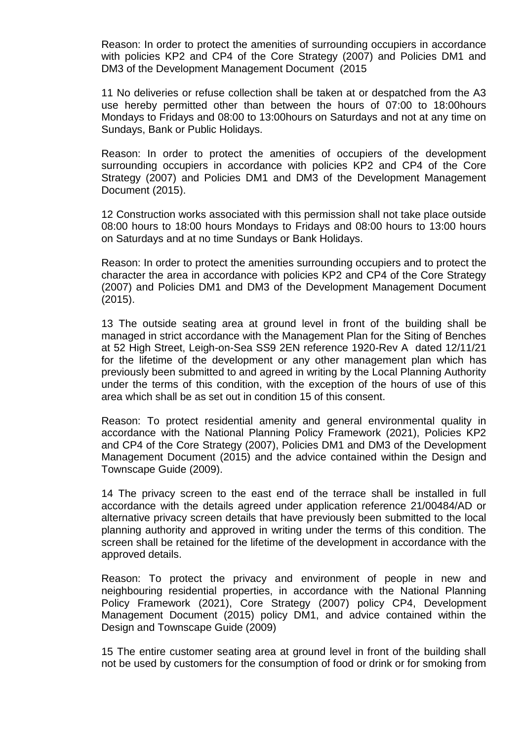Reason: In order to protect the amenities of surrounding occupiers in accordance with policies KP2 and CP4 of the Core Strategy (2007) and Policies DM1 and DM3 of the Development Management Document (2015

11 No deliveries or refuse collection shall be taken at or despatched from the A3 use hereby permitted other than between the hours of 07:00 to 18:00hours Mondays to Fridays and 08:00 to 13:00hours on Saturdays and not at any time on Sundays, Bank or Public Holidays.

Reason: In order to protect the amenities of occupiers of the development surrounding occupiers in accordance with policies KP2 and CP4 of the Core Strategy (2007) and Policies DM1 and DM3 of the Development Management Document (2015).

12 Construction works associated with this permission shall not take place outside 08:00 hours to 18:00 hours Mondays to Fridays and 08:00 hours to 13:00 hours on Saturdays and at no time Sundays or Bank Holidays.

Reason: In order to protect the amenities surrounding occupiers and to protect the character the area in accordance with policies KP2 and CP4 of the Core Strategy (2007) and Policies DM1 and DM3 of the Development Management Document (2015).

13 The outside seating area at ground level in front of the building shall be managed in strict accordance with the Management Plan for the Siting of Benches at 52 High Street, Leigh-on-Sea SS9 2EN reference 1920-Rev A dated 12/11/21 for the lifetime of the development or any other management plan which has previously been submitted to and agreed in writing by the Local Planning Authority under the terms of this condition, with the exception of the hours of use of this area which shall be as set out in condition 15 of this consent.

Reason: To protect residential amenity and general environmental quality in accordance with the National Planning Policy Framework (2021), Policies KP2 and CP4 of the Core Strategy (2007), Policies DM1 and DM3 of the Development Management Document (2015) and the advice contained within the Design and Townscape Guide (2009).

14 The privacy screen to the east end of the terrace shall be installed in full accordance with the details agreed under application reference 21/00484/AD or alternative privacy screen details that have previously been submitted to the local planning authority and approved in writing under the terms of this condition. The screen shall be retained for the lifetime of the development in accordance with the approved details.

Reason: To protect the privacy and environment of people in new and neighbouring residential properties, in accordance with the National Planning Policy Framework (2021), Core Strategy (2007) policy CP4, Development Management Document (2015) policy DM1, and advice contained within the Design and Townscape Guide (2009)

15 The entire customer seating area at ground level in front of the building shall not be used by customers for the consumption of food or drink or for smoking from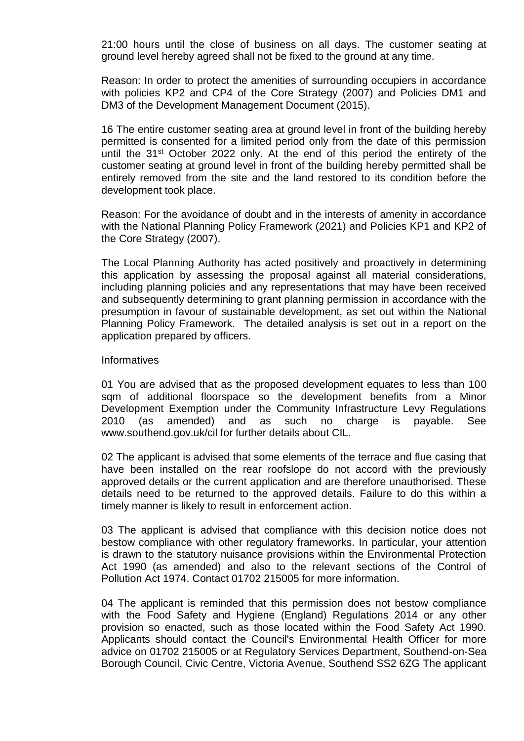21:00 hours until the close of business on all days. The customer seating at ground level hereby agreed shall not be fixed to the ground at any time.

Reason: In order to protect the amenities of surrounding occupiers in accordance with policies KP2 and CP4 of the Core Strategy (2007) and Policies DM1 and DM3 of the Development Management Document (2015).

16 The entire customer seating area at ground level in front of the building hereby permitted is consented for a limited period only from the date of this permission until the 31<sup>st</sup> October 2022 only. At the end of this period the entirety of the customer seating at ground level in front of the building hereby permitted shall be entirely removed from the site and the land restored to its condition before the development took place.

Reason: For the avoidance of doubt and in the interests of amenity in accordance with the National Planning Policy Framework (2021) and Policies KP1 and KP2 of the Core Strategy (2007).

The Local Planning Authority has acted positively and proactively in determining this application by assessing the proposal against all material considerations, including planning policies and any representations that may have been received and subsequently determining to grant planning permission in accordance with the presumption in favour of sustainable development, as set out within the National Planning Policy Framework. The detailed analysis is set out in a report on the application prepared by officers.

#### **Informatives**

01 You are advised that as the proposed development equates to less than 100 sqm of additional floorspace so the development benefits from a Minor Development Exemption under the Community Infrastructure Levy Regulations 2010 (as amended) and as such no charge is payable. See www.southend.gov.uk/cil for further details about CIL.

02 The applicant is advised that some elements of the terrace and flue casing that have been installed on the rear roofslope do not accord with the previously approved details or the current application and are therefore unauthorised. These details need to be returned to the approved details. Failure to do this within a timely manner is likely to result in enforcement action.

03 The applicant is advised that compliance with this decision notice does not bestow compliance with other regulatory frameworks. In particular, your attention is drawn to the statutory nuisance provisions within the Environmental Protection Act 1990 (as amended) and also to the relevant sections of the Control of Pollution Act 1974. Contact 01702 215005 for more information.

04 The applicant is reminded that this permission does not bestow compliance with the Food Safety and Hygiene (England) Regulations 2014 or any other provision so enacted, such as those located within the Food Safety Act 1990. Applicants should contact the Council's Environmental Health Officer for more advice on 01702 215005 or at Regulatory Services Department, Southend-on-Sea Borough Council, Civic Centre, Victoria Avenue, Southend SS2 6ZG The applicant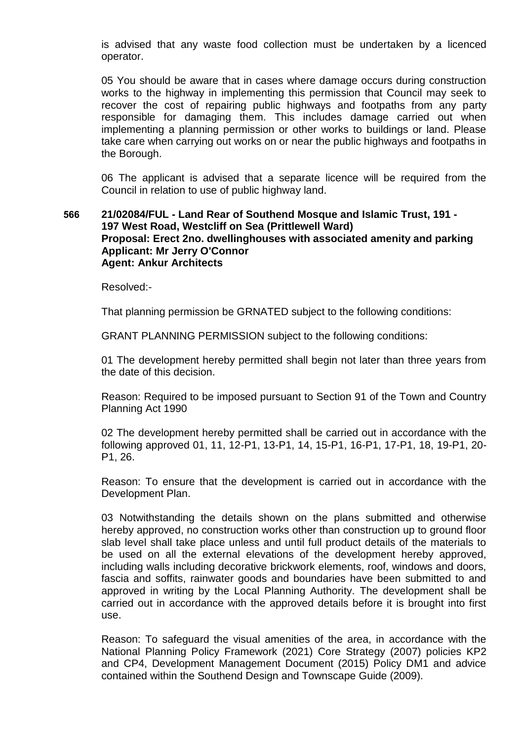is advised that any waste food collection must be undertaken by a licenced operator.

05 You should be aware that in cases where damage occurs during construction works to the highway in implementing this permission that Council may seek to recover the cost of repairing public highways and footpaths from any party responsible for damaging them. This includes damage carried out when implementing a planning permission or other works to buildings or land. Please take care when carrying out works on or near the public highways and footpaths in the Borough.

06 The applicant is advised that a separate licence will be required from the Council in relation to use of public highway land.

## **566 21/02084/FUL - Land Rear of Southend Mosque and Islamic Trust, 191 - 197 West Road, Westcliff on Sea (Prittlewell Ward) Proposal: Erect 2no. dwellinghouses with associated amenity and parking Applicant: Mr Jerry O'Connor Agent: Ankur Architects**

Resolved:-

That planning permission be GRNATED subject to the following conditions:

GRANT PLANNING PERMISSION subject to the following conditions:

01 The development hereby permitted shall begin not later than three years from the date of this decision.

Reason: Required to be imposed pursuant to Section 91 of the Town and Country Planning Act 1990

02 The development hereby permitted shall be carried out in accordance with the following approved 01, 11, 12-P1, 13-P1, 14, 15-P1, 16-P1, 17-P1, 18, 19-P1, 20- P1, 26.

Reason: To ensure that the development is carried out in accordance with the Development Plan.

03 Notwithstanding the details shown on the plans submitted and otherwise hereby approved, no construction works other than construction up to ground floor slab level shall take place unless and until full product details of the materials to be used on all the external elevations of the development hereby approved, including walls including decorative brickwork elements, roof, windows and doors, fascia and soffits, rainwater goods and boundaries have been submitted to and approved in writing by the Local Planning Authority. The development shall be carried out in accordance with the approved details before it is brought into first use.

Reason: To safeguard the visual amenities of the area, in accordance with the National Planning Policy Framework (2021) Core Strategy (2007) policies KP2 and CP4, Development Management Document (2015) Policy DM1 and advice contained within the Southend Design and Townscape Guide (2009).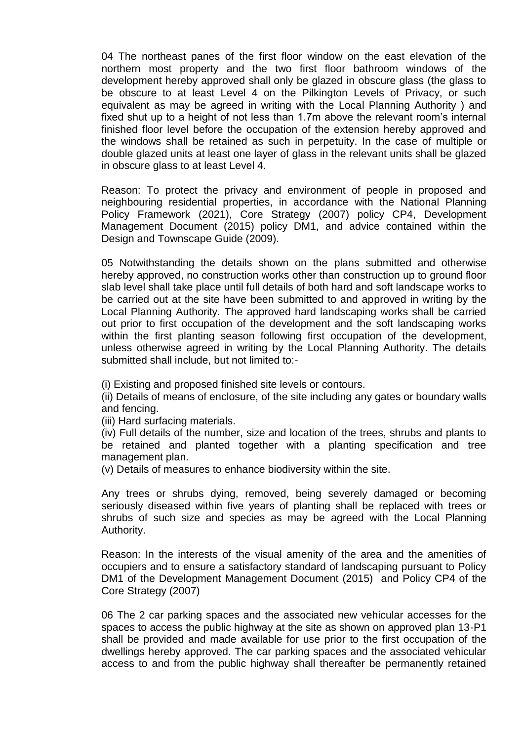04 The northeast panes of the first floor window on the east elevation of the northern most property and the two first floor bathroom windows of the development hereby approved shall only be glazed in obscure glass (the glass to be obscure to at least Level 4 on the Pilkington Levels of Privacy, or such equivalent as may be agreed in writing with the Local Planning Authority ) and fixed shut up to a height of not less than 1.7m above the relevant room's internal finished floor level before the occupation of the extension hereby approved and the windows shall be retained as such in perpetuity. In the case of multiple or double glazed units at least one layer of glass in the relevant units shall be glazed in obscure glass to at least Level 4.

Reason: To protect the privacy and environment of people in proposed and neighbouring residential properties, in accordance with the National Planning Policy Framework (2021), Core Strategy (2007) policy CP4, Development Management Document (2015) policy DM1, and advice contained within the Design and Townscape Guide (2009).

05 Notwithstanding the details shown on the plans submitted and otherwise hereby approved, no construction works other than construction up to ground floor slab level shall take place until full details of both hard and soft landscape works to be carried out at the site have been submitted to and approved in writing by the Local Planning Authority. The approved hard landscaping works shall be carried out prior to first occupation of the development and the soft landscaping works within the first planting season following first occupation of the development, unless otherwise agreed in writing by the Local Planning Authority. The details submitted shall include, but not limited to:-

(i) Existing and proposed finished site levels or contours.

(ii) Details of means of enclosure, of the site including any gates or boundary walls and fencing.

(iii) Hard surfacing materials.

(iv) Full details of the number, size and location of the trees, shrubs and plants to be retained and planted together with a planting specification and tree management plan.

(v) Details of measures to enhance biodiversity within the site.

Any trees or shrubs dying, removed, being severely damaged or becoming seriously diseased within five years of planting shall be replaced with trees or shrubs of such size and species as may be agreed with the Local Planning Authority.

Reason: In the interests of the visual amenity of the area and the amenities of occupiers and to ensure a satisfactory standard of landscaping pursuant to Policy DM1 of the Development Management Document (2015) and Policy CP4 of the Core Strategy (2007)

06 The 2 car parking spaces and the associated new vehicular accesses for the spaces to access the public highway at the site as shown on approved plan 13-P1 shall be provided and made available for use prior to the first occupation of the dwellings hereby approved. The car parking spaces and the associated vehicular access to and from the public highway shall thereafter be permanently retained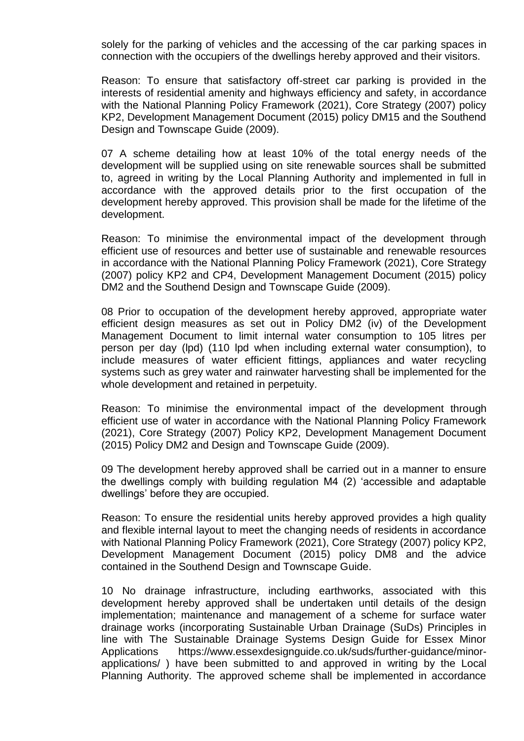solely for the parking of vehicles and the accessing of the car parking spaces in connection with the occupiers of the dwellings hereby approved and their visitors.

Reason: To ensure that satisfactory off-street car parking is provided in the interests of residential amenity and highways efficiency and safety, in accordance with the National Planning Policy Framework (2021), Core Strategy (2007) policy KP2, Development Management Document (2015) policy DM15 and the Southend Design and Townscape Guide (2009).

07 A scheme detailing how at least 10% of the total energy needs of the development will be supplied using on site renewable sources shall be submitted to, agreed in writing by the Local Planning Authority and implemented in full in accordance with the approved details prior to the first occupation of the development hereby approved. This provision shall be made for the lifetime of the development.

Reason: To minimise the environmental impact of the development through efficient use of resources and better use of sustainable and renewable resources in accordance with the National Planning Policy Framework (2021), Core Strategy (2007) policy KP2 and CP4, Development Management Document (2015) policy DM2 and the Southend Design and Townscape Guide (2009).

08 Prior to occupation of the development hereby approved, appropriate water efficient design measures as set out in Policy DM2 (iv) of the Development Management Document to limit internal water consumption to 105 litres per person per day (lpd) (110 lpd when including external water consumption), to include measures of water efficient fittings, appliances and water recycling systems such as grey water and rainwater harvesting shall be implemented for the whole development and retained in perpetuity.

Reason: To minimise the environmental impact of the development through efficient use of water in accordance with the National Planning Policy Framework (2021), Core Strategy (2007) Policy KP2, Development Management Document (2015) Policy DM2 and Design and Townscape Guide (2009).

09 The development hereby approved shall be carried out in a manner to ensure the dwellings comply with building regulation M4 (2) 'accessible and adaptable dwellings' before they are occupied.

Reason: To ensure the residential units hereby approved provides a high quality and flexible internal layout to meet the changing needs of residents in accordance with National Planning Policy Framework (2021), Core Strategy (2007) policy KP2, Development Management Document (2015) policy DM8 and the advice contained in the Southend Design and Townscape Guide.

10 No drainage infrastructure, including earthworks, associated with this development hereby approved shall be undertaken until details of the design implementation; maintenance and management of a scheme for surface water drainage works (incorporating Sustainable Urban Drainage (SuDs) Principles in line with The Sustainable Drainage Systems Design Guide for Essex Minor Applications https://www.essexdesignguide.co.uk/suds/further-guidance/minorapplications/ ) have been submitted to and approved in writing by the Local Planning Authority. The approved scheme shall be implemented in accordance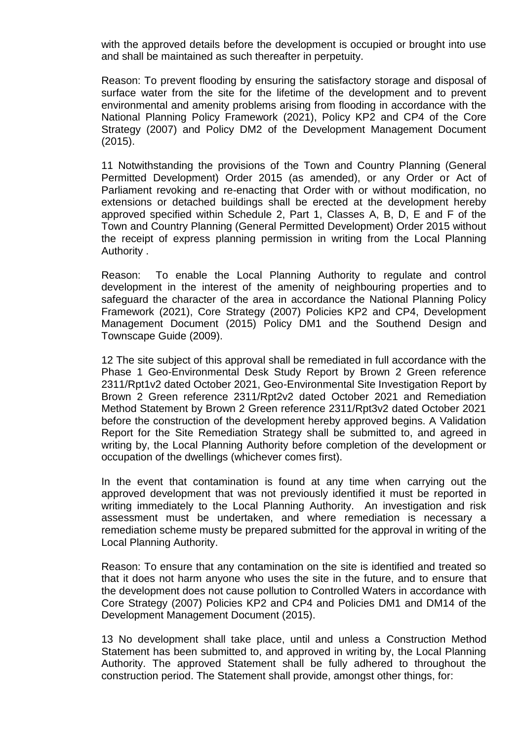with the approved details before the development is occupied or brought into use and shall be maintained as such thereafter in perpetuity.

Reason: To prevent flooding by ensuring the satisfactory storage and disposal of surface water from the site for the lifetime of the development and to prevent environmental and amenity problems arising from flooding in accordance with the National Planning Policy Framework (2021), Policy KP2 and CP4 of the Core Strategy (2007) and Policy DM2 of the Development Management Document (2015).

11 Notwithstanding the provisions of the Town and Country Planning (General Permitted Development) Order 2015 (as amended), or any Order or Act of Parliament revoking and re-enacting that Order with or without modification, no extensions or detached buildings shall be erected at the development hereby approved specified within Schedule 2, Part 1, Classes A, B, D, E and F of the Town and Country Planning (General Permitted Development) Order 2015 without the receipt of express planning permission in writing from the Local Planning Authority .

Reason: To enable the Local Planning Authority to regulate and control development in the interest of the amenity of neighbouring properties and to safeguard the character of the area in accordance the National Planning Policy Framework (2021), Core Strategy (2007) Policies KP2 and CP4, Development Management Document (2015) Policy DM1 and the Southend Design and Townscape Guide (2009).

12 The site subject of this approval shall be remediated in full accordance with the Phase 1 Geo-Environmental Desk Study Report by Brown 2 Green reference 2311/Rpt1v2 dated October 2021, Geo-Environmental Site Investigation Report by Brown 2 Green reference 2311/Rpt2v2 dated October 2021 and Remediation Method Statement by Brown 2 Green reference 2311/Rpt3v2 dated October 2021 before the construction of the development hereby approved begins. A Validation Report for the Site Remediation Strategy shall be submitted to, and agreed in writing by, the Local Planning Authority before completion of the development or occupation of the dwellings (whichever comes first).

In the event that contamination is found at any time when carrying out the approved development that was not previously identified it must be reported in writing immediately to the Local Planning Authority. An investigation and risk assessment must be undertaken, and where remediation is necessary a remediation scheme musty be prepared submitted for the approval in writing of the Local Planning Authority.

Reason: To ensure that any contamination on the site is identified and treated so that it does not harm anyone who uses the site in the future, and to ensure that the development does not cause pollution to Controlled Waters in accordance with Core Strategy (2007) Policies KP2 and CP4 and Policies DM1 and DM14 of the Development Management Document (2015).

13 No development shall take place, until and unless a Construction Method Statement has been submitted to, and approved in writing by, the Local Planning Authority. The approved Statement shall be fully adhered to throughout the construction period. The Statement shall provide, amongst other things, for: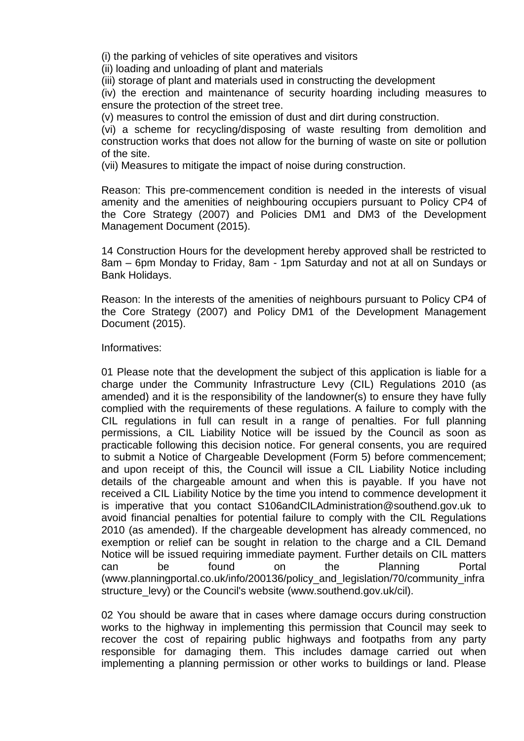(i) the parking of vehicles of site operatives and visitors

(ii) loading and unloading of plant and materials

(iii) storage of plant and materials used in constructing the development

(iv) the erection and maintenance of security hoarding including measures to ensure the protection of the street tree.

(v) measures to control the emission of dust and dirt during construction.

(vi) a scheme for recycling/disposing of waste resulting from demolition and construction works that does not allow for the burning of waste on site or pollution of the site.

(vii) Measures to mitigate the impact of noise during construction.

Reason: This pre-commencement condition is needed in the interests of visual amenity and the amenities of neighbouring occupiers pursuant to Policy CP4 of the Core Strategy (2007) and Policies DM1 and DM3 of the Development Management Document (2015).

14 Construction Hours for the development hereby approved shall be restricted to 8am – 6pm Monday to Friday, 8am - 1pm Saturday and not at all on Sundays or Bank Holidays.

Reason: In the interests of the amenities of neighbours pursuant to Policy CP4 of the Core Strategy (2007) and Policy DM1 of the Development Management Document (2015).

Informatives:

01 Please note that the development the subject of this application is liable for a charge under the Community Infrastructure Levy (CIL) Regulations 2010 (as amended) and it is the responsibility of the landowner(s) to ensure they have fully complied with the requirements of these regulations. A failure to comply with the CIL regulations in full can result in a range of penalties. For full planning permissions, a CIL Liability Notice will be issued by the Council as soon as practicable following this decision notice. For general consents, you are required to submit a Notice of Chargeable Development (Form 5) before commencement; and upon receipt of this, the Council will issue a CIL Liability Notice including details of the chargeable amount and when this is payable. If you have not received a CIL Liability Notice by the time you intend to commence development it is imperative that you contact S106andCILAdministration@southend.gov.uk to avoid financial penalties for potential failure to comply with the CIL Regulations 2010 (as amended). If the chargeable development has already commenced, no exemption or relief can be sought in relation to the charge and a CIL Demand Notice will be issued requiring immediate payment. Further details on CIL matters can be found on the Planning Portal (www.planningportal.co.uk/info/200136/policy\_and\_legislation/70/community\_infra structure\_levy) or the Council's website (www.southend.gov.uk/cil).

02 You should be aware that in cases where damage occurs during construction works to the highway in implementing this permission that Council may seek to recover the cost of repairing public highways and footpaths from any party responsible for damaging them. This includes damage carried out when implementing a planning permission or other works to buildings or land. Please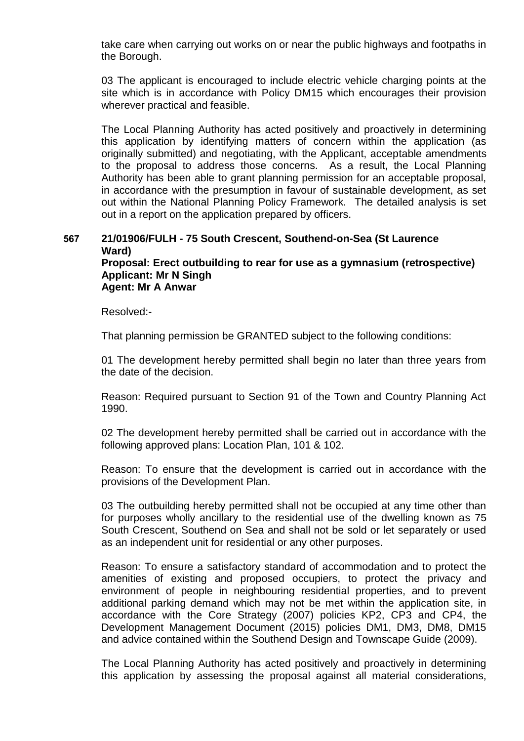take care when carrying out works on or near the public highways and footpaths in the Borough.

03 The applicant is encouraged to include electric vehicle charging points at the site which is in accordance with Policy DM15 which encourages their provision wherever practical and feasible.

The Local Planning Authority has acted positively and proactively in determining this application by identifying matters of concern within the application (as originally submitted) and negotiating, with the Applicant, acceptable amendments to the proposal to address those concerns. As a result, the Local Planning Authority has been able to grant planning permission for an acceptable proposal, in accordance with the presumption in favour of sustainable development, as set out within the National Planning Policy Framework. The detailed analysis is set out in a report on the application prepared by officers.

### **567 21/01906/FULH - 75 South Crescent, Southend-on-Sea (St Laurence Ward) Proposal: Erect outbuilding to rear for use as a gymnasium (retrospective) Applicant: Mr N Singh Agent: Mr A Anwar**

Resolved:-

That planning permission be GRANTED subject to the following conditions:

01 The development hereby permitted shall begin no later than three years from the date of the decision.

Reason: Required pursuant to Section 91 of the Town and Country Planning Act 1990.

02 The development hereby permitted shall be carried out in accordance with the following approved plans: Location Plan, 101 & 102.

Reason: To ensure that the development is carried out in accordance with the provisions of the Development Plan.

03 The outbuilding hereby permitted shall not be occupied at any time other than for purposes wholly ancillary to the residential use of the dwelling known as 75 South Crescent, Southend on Sea and shall not be sold or let separately or used as an independent unit for residential or any other purposes.

Reason: To ensure a satisfactory standard of accommodation and to protect the amenities of existing and proposed occupiers, to protect the privacy and environment of people in neighbouring residential properties, and to prevent additional parking demand which may not be met within the application site, in accordance with the Core Strategy (2007) policies KP2, CP3 and CP4, the Development Management Document (2015) policies DM1, DM3, DM8, DM15 and advice contained within the Southend Design and Townscape Guide (2009).

The Local Planning Authority has acted positively and proactively in determining this application by assessing the proposal against all material considerations,